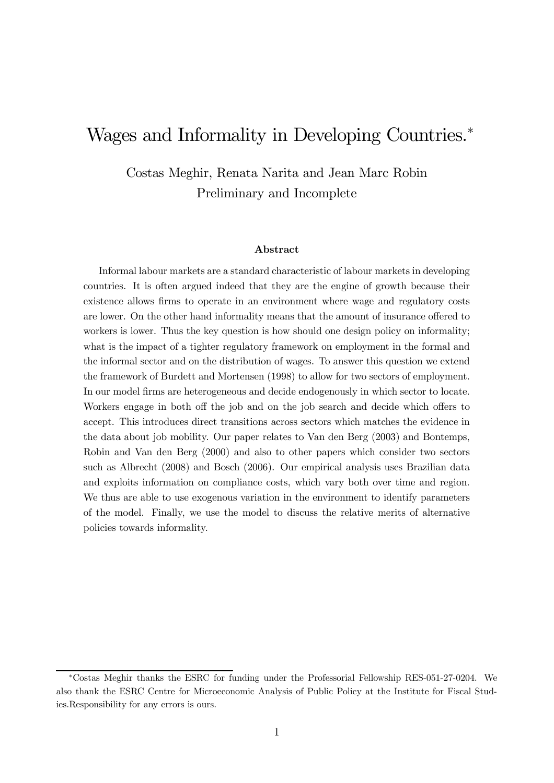# Wages and Informality in Developing Countries.<sup>∗</sup>

Costas Meghir, Renata Narita and Jean Marc Robin Preliminary and Incomplete

#### Abstract

Informal labour markets are a standard characteristic of labour markets in developing countries. It is often argued indeed that they are the engine of growth because their existence allows firms to operate in an environment where wage and regulatory costs are lower. On the other hand informality means that the amount of insurance offered to workers is lower. Thus the key question is how should one design policy on informality; what is the impact of a tighter regulatory framework on employment in the formal and the informal sector and on the distribution of wages. To answer this question we extend the framework of Burdett and Mortensen (1998) to allow for two sectors of employment. In our model firms are heterogeneous and decide endogenously in which sector to locate. Workers engage in both off the job and on the job search and decide which offers to accept. This introduces direct transitions across sectors which matches the evidence in the data about job mobility. Our paper relates to Van den Berg (2003) and Bontemps, Robin and Van den Berg (2000) and also to other papers which consider two sectors such as Albrecht (2008) and Bosch (2006). Our empirical analysis uses Brazilian data and exploits information on compliance costs, which vary both over time and region. We thus are able to use exogenous variation in the environment to identify parameters of the model. Finally, we use the model to discuss the relative merits of alternative policies towards informality.

<sup>∗</sup>Costas Meghir thanks the ESRC for funding under the Professorial Fellowship RES-051-27-0204. We also thank the ESRC Centre for Microeconomic Analysis of Public Policy at the Institute for Fiscal Studies.Responsibility for any errors is ours.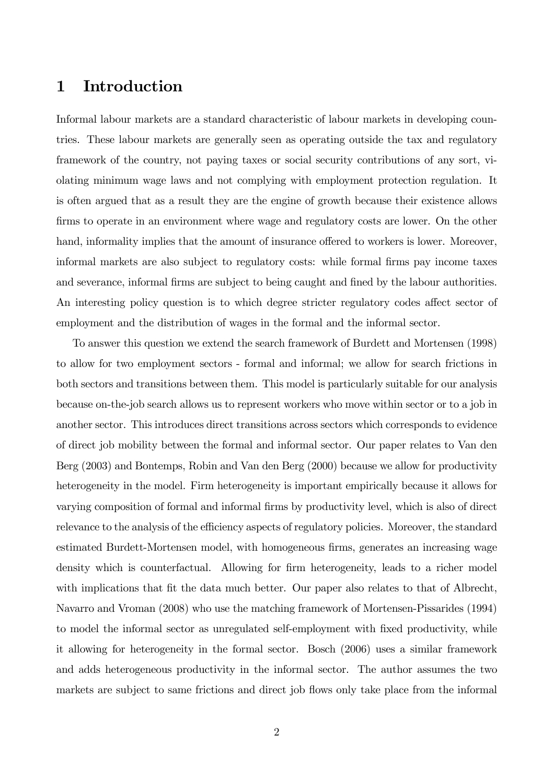# 1 Introduction

Informal labour markets are a standard characteristic of labour markets in developing countries. These labour markets are generally seen as operating outside the tax and regulatory framework of the country, not paying taxes or social security contributions of any sort, violating minimum wage laws and not complying with employment protection regulation. It is often argued that as a result they are the engine of growth because their existence allows firms to operate in an environment where wage and regulatory costs are lower. On the other hand, informality implies that the amount of insurance offered to workers is lower. Moreover, informal markets are also subject to regulatory costs: while formal firms pay income taxes and severance, informal firms are subject to being caught and fined by the labour authorities. An interesting policy question is to which degree stricter regulatory codes affect sector of employment and the distribution of wages in the formal and the informal sector.

To answer this question we extend the search framework of Burdett and Mortensen (1998) to allow for two employment sectors - formal and informal; we allow for search frictions in both sectors and transitions between them. This model is particularly suitable for our analysis because on-the-job search allows us to represent workers who move within sector or to a job in another sector. This introduces direct transitions across sectors which corresponds to evidence of direct job mobility between the formal and informal sector. Our paper relates to Van den Berg (2003) and Bontemps, Robin and Van den Berg (2000) because we allow for productivity heterogeneity in the model. Firm heterogeneity is important empirically because it allows for varying composition of formal and informal firms by productivity level, which is also of direct relevance to the analysis of the efficiency aspects of regulatory policies. Moreover, the standard estimated Burdett-Mortensen model, with homogeneous firms, generates an increasing wage density which is counterfactual. Allowing for firm heterogeneity, leads to a richer model with implications that fit the data much better. Our paper also relates to that of Albrecht, Navarro and Vroman (2008) who use the matching framework of Mortensen-Pissarides (1994) to model the informal sector as unregulated self-employment with fixed productivity, while it allowing for heterogeneity in the formal sector. Bosch (2006) uses a similar framework and adds heterogeneous productivity in the informal sector. The author assumes the two markets are subject to same frictions and direct job flows only take place from the informal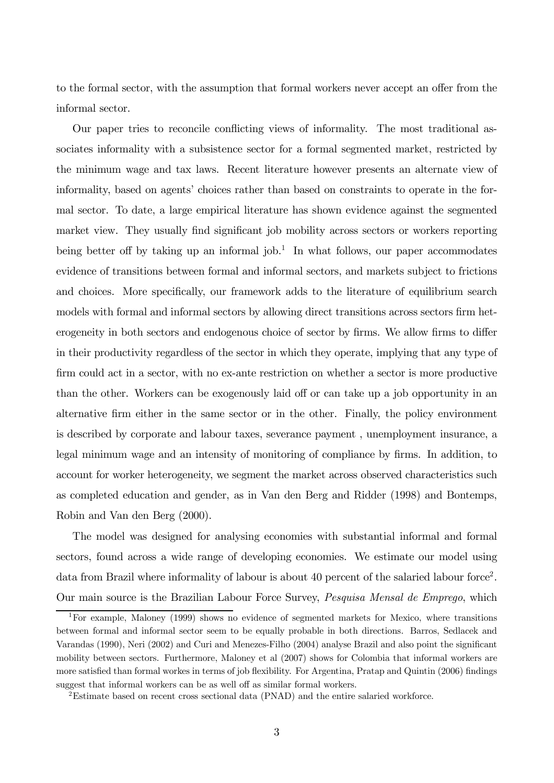to the formal sector, with the assumption that formal workers never accept an offer from the informal sector.

Our paper tries to reconcile conflicting views of informality. The most traditional associates informality with a subsistence sector for a formal segmented market, restricted by the minimum wage and tax laws. Recent literature however presents an alternate view of informality, based on agents' choices rather than based on constraints to operate in the formal sector. To date, a large empirical literature has shown evidence against the segmented market view. They usually find significant job mobility across sectors or workers reporting being better off by taking up an informal job.<sup>1</sup> In what follows, our paper accommodates evidence of transitions between formal and informal sectors, and markets subject to frictions and choices. More specifically, our framework adds to the literature of equilibrium search models with formal and informal sectors by allowing direct transitions across sectors firm heterogeneity in both sectors and endogenous choice of sector by firms. We allow firms to differ in their productivity regardless of the sector in which they operate, implying that any type of firm could act in a sector, with no ex-ante restriction on whether a sector is more productive than the other. Workers can be exogenously laid off or can take up a job opportunity in an alternative firm either in the same sector or in the other. Finally, the policy environment is described by corporate and labour taxes, severance payment , unemployment insurance, a legal minimum wage and an intensity of monitoring of compliance by firms. In addition, to account for worker heterogeneity, we segment the market across observed characteristics such as completed education and gender, as in Van den Berg and Ridder (1998) and Bontemps, Robin and Van den Berg (2000).

The model was designed for analysing economies with substantial informal and formal sectors, found across a wide range of developing economies. We estimate our model using data from Brazil where informality of labour is about 40 percent of the salaried labour force<sup>2</sup>. Our main source is the Brazilian Labour Force Survey, Pesquisa Mensal de Emprego, which

<sup>1</sup>For example, Maloney (1999) shows no evidence of segmented markets for Mexico, where transitions between formal and informal sector seem to be equally probable in both directions. Barros, Sedlacek and Varandas (1990), Neri (2002) and Curi and Menezes-Filho (2004) analyse Brazil and also point the significant mobility between sectors. Furthermore, Maloney et al (2007) shows for Colombia that informal workers are more satisfied than formal workes in terms of job flexibility. For Argentina, Pratap and Quintin (2006) findings suggest that informal workers can be as well off as similar formal workers.

<sup>2</sup>Estimate based on recent cross sectional data (PNAD) and the entire salaried workforce.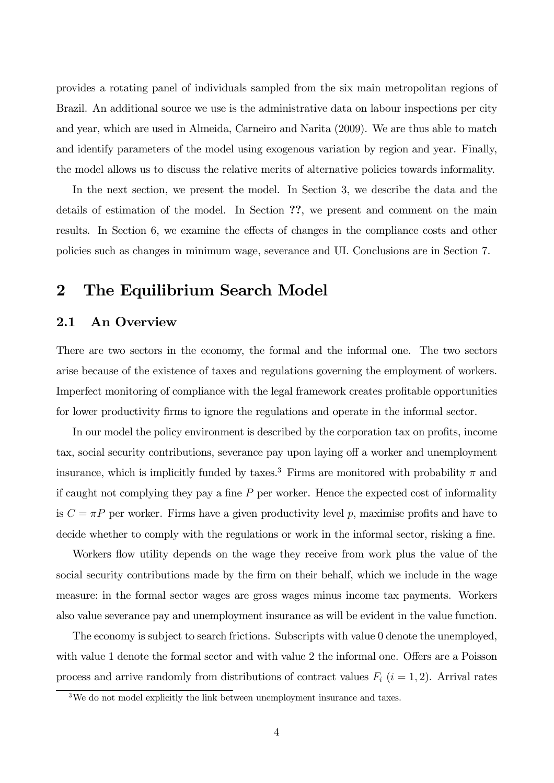provides a rotating panel of individuals sampled from the six main metropolitan regions of Brazil. An additional source we use is the administrative data on labour inspections per city and year, which are used in Almeida, Carneiro and Narita (2009). We are thus able to match and identify parameters of the model using exogenous variation by region and year. Finally, the model allows us to discuss the relative merits of alternative policies towards informality.

In the next section, we present the model. In Section 3, we describe the data and the details of estimation of the model. In Section ??, we present and comment on the main results. In Section 6, we examine the effects of changes in the compliance costs and other policies such as changes in minimum wage, severance and UI. Conclusions are in Section 7.

# 2 The Equilibrium Search Model

## 2.1 An Overview

There are two sectors in the economy, the formal and the informal one. The two sectors arise because of the existence of taxes and regulations governing the employment of workers. Imperfect monitoring of compliance with the legal framework creates profitable opportunities for lower productivity firms to ignore the regulations and operate in the informal sector.

In our model the policy environment is described by the corporation tax on profits, income tax, social security contributions, severance pay upon laying off a worker and unemployment insurance, which is implicitly funded by taxes.<sup>3</sup> Firms are monitored with probability  $\pi$  and if caught not complying they pay a fine  $P$  per worker. Hence the expected cost of informality is  $C = \pi P$  per worker. Firms have a given productivity level p, maximise profits and have to decide whether to comply with the regulations or work in the informal sector, risking a fine.

Workers flow utility depends on the wage they receive from work plus the value of the social security contributions made by the firm on their behalf, which we include in the wage measure: in the formal sector wages are gross wages minus income tax payments. Workers also value severance pay and unemployment insurance as will be evident in the value function.

The economy is subject to search frictions. Subscripts with value 0 denote the unemployed, with value 1 denote the formal sector and with value 2 the informal one. Offers are a Poisson process and arrive randomly from distributions of contract values  $F_i$  ( $i = 1, 2$ ). Arrival rates

<sup>&</sup>lt;sup>3</sup>We do not model explicitly the link between unemployment insurance and taxes.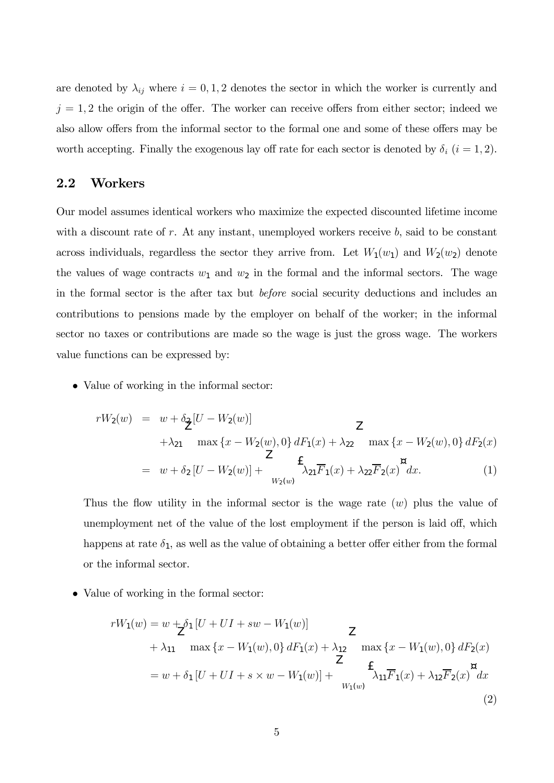are denoted by  $\lambda_{ij}$  where  $i = 0, 1, 2$  denotes the sector in which the worker is currently and  $j = 1, 2$  the origin of the offer. The worker can receive offers from either sector; indeed we also allow offers from the informal sector to the formal one and some of these offers may be worth accepting. Finally the exogenous lay off rate for each sector is denoted by  $\delta_i$   $(i = 1, 2)$ .

### 2.2 Workers

Our model assumes identical workers who maximize the expected discounted lifetime income with a discount rate of  $r$ . At any instant, unemployed workers receive  $b$ , said to be constant across individuals, regardless the sector they arrive from. Let  $W_1(w_1)$  and  $W_2(w_2)$  denote the values of wage contracts  $w_1$  and  $w_2$  in the formal and the informal sectors. The wage in the formal sector is the after tax but before social security deductions and includes an contributions to pensions made by the employer on behalf of the worker; in the informal sector no taxes or contributions are made so the wage is just the gross wage. The workers value functions can be expressed by:

• Value of working in the informal sector:

$$
rW_2(w) = w + \delta_{\mathbf{Z}}[U - W_2(w)]
$$
  
+  $\lambda_{21}$  max { $x - W_2(w)$ , 0}  $dF_1(x) + \lambda_{22}$  max { $x - W_2(w)$ , 0}  $dF_2(x)$   
=  $w + \delta_2[U - W_2(w)] + \sum_{W_2(w)}^{W_2(w)} f_{\lambda_{21}}F_1(x) + \lambda_{22}F_2(x) \alpha_{21}$  (1)

Thus the flow utility in the informal sector is the wage rate  $(w)$  plus the value of unemployment net of the value of the lost employment if the person is laid off, which happens at rate  $\delta_1$ , as well as the value of obtaining a better offer either from the formal or the informal sector.

• Value of working in the formal sector:

$$
rW_1(w) = w + \frac{1}{2}\delta_1 [U + UI + sw - W_1(w)]
$$
  
+  $\lambda_{11}$  max {x - W<sub>1</sub>(w), 0} dF<sub>1</sub>(x) +  $\lambda_{12}$  max {x - W<sub>1</sub>(w), 0} dF<sub>2</sub>(x)  

$$
= w + \delta_1 [U + UI + s \times w - W_1(w)] + \sum_{W_1(w)}^{\text{E}} \sum_{W_1(w)}^{\text{E}} \alpha_1 F_1(x) + \lambda_{12} \overline{F}_2(x) dx
$$
  
(2)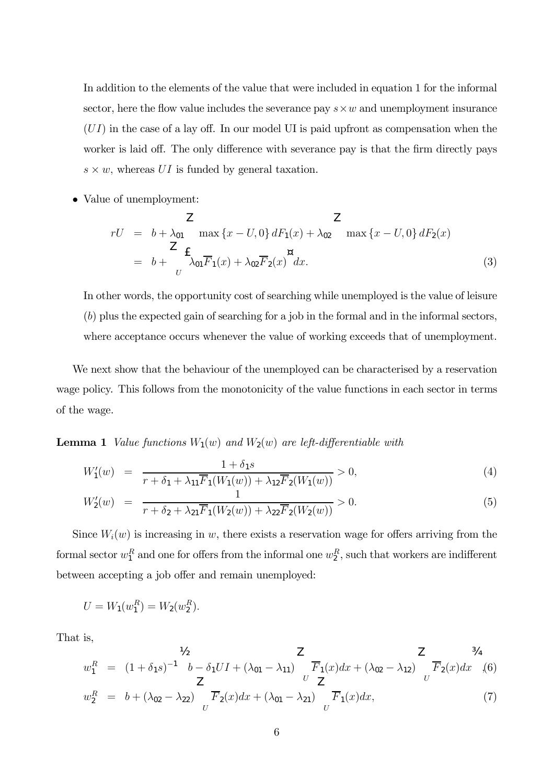In addition to the elements of the value that were included in equation 1 for the informal sector, here the flow value includes the severance pay  $s \times w$  and unemployment insurance  $(UI)$  in the case of a lay off. In our model UI is paid upfront as compensation when the worker is laid off. The only difference with severance pay is that the firm directly pays  $s \times w$ , whereas UI is funded by general taxation.

• Value of unemployment:

$$
rU = b + \lambda_{01} \max \{x - U, 0\} dF_1(x) + \lambda_{02} \max \{x - U, 0\} dF_2(x)
$$
  
=  $b + \sum_{U}^{Z} \mathbf{f}_{\lambda_{01}} \overline{F}_1(x) + \lambda_{02} \overline{F}_2(x) dx.$  (3)

In other words, the opportunity cost of searching while unemployed is the value of leisure (b) plus the expected gain of searching for a job in the formal and in the informal sectors, where acceptance occurs whenever the value of working exceeds that of unemployment.

We next show that the behaviour of the unemployed can be characterised by a reservation wage policy. This follows from the monotonicity of the value functions in each sector in terms of the wage.

**Lemma 1** Value functions  $W_1(w)$  and  $W_2(w)$  are left-differentiable with

$$
W_1'(w) = \frac{1 + \delta_1 s}{r + \delta_1 + \lambda_{11} \overline{F}_1(W_1(w)) + \lambda_{12} \overline{F}_2(W_1(w))} > 0,
$$
\n(4)

$$
W_2'(w) = \frac{1}{r + \delta_2 + \lambda_{21} \overline{F}_1(W_2(w)) + \lambda_{22} \overline{F}_2(W_2(w))} > 0.
$$
 (5)

Since  $W_i(w)$  is increasing in w, there exists a reservation wage for offers arriving from the formal sector  $w_1^R$  and one for offers from the informal one  $w_2^R$ , such that workers are indifferent between accepting a job offer and remain unemployed:

$$
U = W_1(w_1^R) = W_2(w_2^R).
$$

That is,

$$
w_1^R = (1 + \delta_1 s)^{-1} b - \delta_1 U I + (\lambda_{01} - \lambda_{11}) \frac{Z}{F_1(x)} d x + (\lambda_{02} - \lambda_{12}) \frac{Z}{U} \frac{34}{F_2(x)} d x
$$
(6)  

$$
w_2^R = b + (\lambda_{02} - \lambda_{22}) \frac{Z}{U} \frac{Z}{F_2(x)} d x + (\lambda_{01} - \lambda_{21}) \frac{Z}{U} \frac{Z}{F_1(x)} d x,
$$
(7)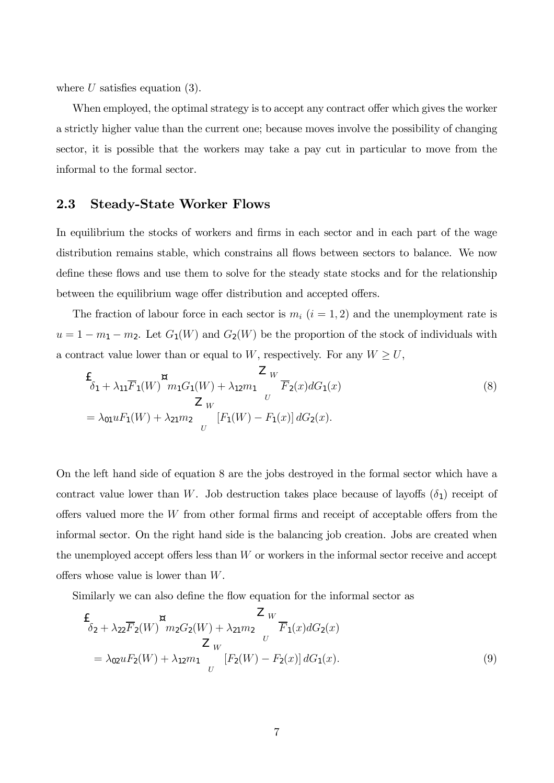where  $U$  satisfies equation (3).

When employed, the optimal strategy is to accept any contract offer which gives the worker a strictly higher value than the current one; because moves involve the possibility of changing sector, it is possible that the workers may take a pay cut in particular to move from the informal to the formal sector.

#### 2.3 Steady-State Worker Flows

In equilibrium the stocks of workers and firms in each sector and in each part of the wage distribution remains stable, which constrains all flows between sectors to balance. We now define these flows and use them to solve for the steady state stocks and for the relationship between the equilibrium wage offer distribution and accepted offers.

The fraction of labour force in each sector is  $m_i$   $(i = 1, 2)$  and the unemployment rate is  $u = 1 - m_1 - m_2$ . Let  $G_1(W)$  and  $G_2(W)$  be the proportion of the stock of individuals with a contract value lower than or equal to W, respectively. For any  $W \geq U$ ,

$$
\frac{f}{\delta_1 + \lambda_{11}F_1(W)} \frac{Z_W}{m_1G_1(W) + \lambda_{12}m_1} \frac{Z_W}{F_2(x)dG_1(x)} \n= \lambda_{01}uF_1(W) + \lambda_{21}m_2 \frac{Z_W}{U} [F_1(W) - F_1(x)] dG_2(x).
$$
\n(8)

On the left hand side of equation 8 are the jobs destroyed in the formal sector which have a contract value lower than W. Job destruction takes place because of layoffs  $(\delta_1)$  receipt of offers valued more the  $W$  from other formal firms and receipt of acceptable offers from the informal sector. On the right hand side is the balancing job creation. Jobs are created when the unemployed accept offers less than  $W$  or workers in the informal sector receive and accept offers whose value is lower than W.

Similarly we can also define the flow equation for the informal sector as

$$
\frac{E}{\delta_2 + \lambda_{22}F_2(W)}^{\text{m}} m_2 G_2(W) + \lambda_{21} m_2 \frac{Z_W}{U} \overline{F}_1(x) dG_2(x)
$$
\n
$$
= \lambda_{02} u F_2(W) + \lambda_{12} m_1 \frac{Z_W}{U} [F_2(W) - F_2(x)] dG_1(x). \tag{9}
$$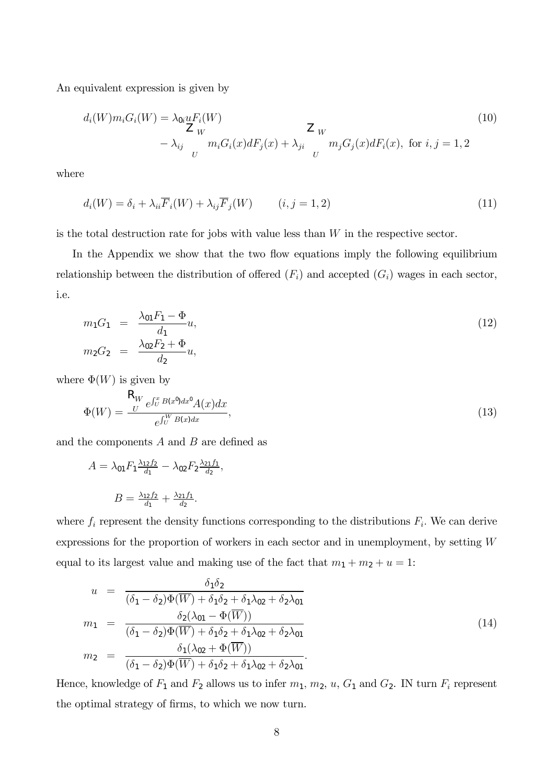An equivalent expression is given by

$$
d_i(W)m_iG_i(W) = \lambda_{0i} uF_i(W)
$$
  
\n
$$
Z_W
$$
\n
$$
-\lambda_{ij} \frac{Z_W}{m_iG_i(x)dF_j(x)} + \lambda_{ji} \frac{Z_W}{m_jG_j(x)dF_i(x)}, \text{ for } i, j = 1, 2
$$
\n(10)

where

$$
d_i(W) = \delta_i + \lambda_{ii} \overline{F}_i(W) + \lambda_{ij} \overline{F}_j(W) \qquad (i, j = 1, 2)
$$
\n(11)

is the total destruction rate for jobs with value less than  $W$  in the respective sector.

In the Appendix we show that the two flow equations imply the following equilibrium relationship between the distribution of offered  $(F_i)$  and accepted  $(G_i)$  wages in each sector, i.e.

$$
m_1 G_1 = \frac{\lambda_{01} F_1 - \Phi}{d_1} u,
$$
  
\n
$$
m_2 G_2 = \frac{\lambda_{02} F_2 + \Phi}{d_2} u,
$$
\n(12)

where  $\Phi(W)$  is given by

$$
\Phi(W) = \frac{\mathcal{R}_W e^{\int_U^x B(x^0) dx^0} A(x) dx}{e^{\int_U^W B(x) dx}},
$$
\n(13)

and the components  $A$  and  $B$  are defined as

$$
A = \lambda_{01} F_1 \frac{\lambda_{12} f_2}{d_1} - \lambda_{02} F_2 \frac{\lambda_{21} f_1}{d_2},
$$

$$
B = \frac{\lambda_{12} f_2}{d_1} + \frac{\lambda_{21} f_1}{d_2}.
$$

where  $f_i$  represent the density functions corresponding to the distributions  $F_i$ . We can derive expressions for the proportion of workers in each sector and in unemployment, by setting W equal to its largest value and making use of the fact that  $m_1 + m_2 + u = 1$ :

$$
u = \frac{\delta_1 \delta_2}{(\delta_1 - \delta_2) \Phi(\overline{W}) + \delta_1 \delta_2 + \delta_1 \lambda_{02} + \delta_2 \lambda_{01}}
$$
  
\n
$$
m_1 = \frac{\delta_2 (\lambda_{01} - \Phi(\overline{W}))}{(\delta_1 - \delta_2) \Phi(\overline{W}) + \delta_1 \delta_2 + \delta_1 \lambda_{02} + \delta_2 \lambda_{01}}
$$
  
\n
$$
m_2 = \frac{\delta_1 (\lambda_{02} + \Phi(\overline{W}))}{(\delta_1 - \delta_2) \Phi(\overline{W}) + \delta_1 \delta_2 + \delta_1 \lambda_{02} + \delta_2 \lambda_{01}}.
$$
\n(14)

Hence, knowledge of  $F_1$  and  $F_2$  allows us to infer  $m_1$ ,  $m_2$ ,  $u$ ,  $G_1$  and  $G_2$ . IN turn  $F_i$  represent the optimal strategy of firms, to which we now turn.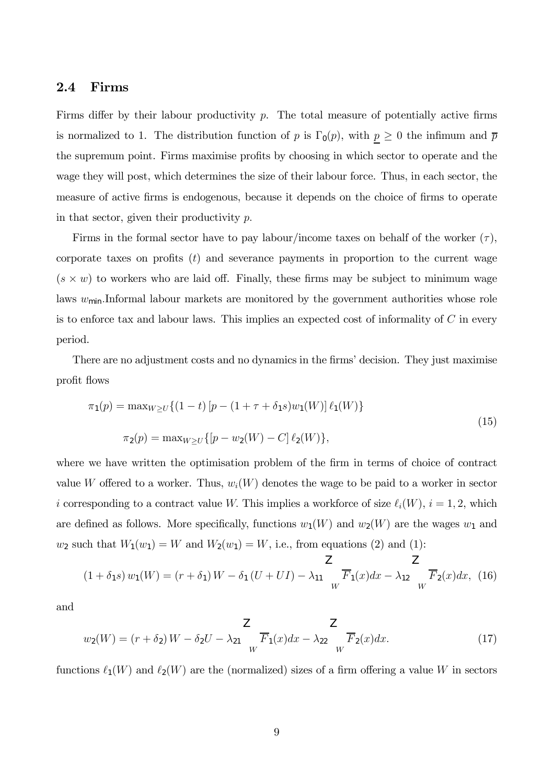#### 2.4 Firms

Firms differ by their labour productivity  $p$ . The total measure of potentially active firms is normalized to 1. The distribution function of p is  $\Gamma_0(p)$ , with  $p \geq 0$  the infimum and  $\bar{p}$ the supremum point. Firms maximise profits by choosing in which sector to operate and the wage they will post, which determines the size of their labour force. Thus, in each sector, the measure of active firms is endogenous, because it depends on the choice of firms to operate in that sector, given their productivity  $p$ .

Firms in the formal sector have to pay labour/income taxes on behalf of the worker  $(\tau)$ , corporate taxes on profits  $(t)$  and severance payments in proportion to the current wage  $(s \times w)$  to workers who are laid off. Finally, these firms may be subject to minimum wage laws  $w_{\text{min}}$ . Informal labour markets are monitored by the government authorities whose role is to enforce tax and labour laws. This implies an expected cost of informality of  $C$  in every period.

There are no adjustment costs and no dynamics in the firms' decision. They just maximise profit flows

$$
\pi_1(p) = \max_{W \ge U} \{ (1 - t) [p - (1 + \tau + \delta_1 s) w_1(W)] \ell_1(W) \}
$$
  

$$
\pi_2(p) = \max_{W \ge U} \{ [p - w_2(W) - C] \ell_2(W) \},
$$
 (15)

where we have written the optimisation problem of the firm in terms of choice of contract value W offered to a worker. Thus,  $w_i(W)$  denotes the wage to be paid to a worker in sector i corresponding to a contract value W. This implies a workforce of size  $\ell_i(W)$ ,  $i = 1, 2$ , which are defined as follows. More specifically, functions  $w_1(W)$  and  $w_2(W)$  are the wages  $w_1$  and  $w_2$  such that  $W_1(w_1) = W$  and  $W_2(w_1) = W$ , i.e., from equations (2) and (1):

$$
(1 + \delta_1 s) w_1(W) = (r + \delta_1) W - \delta_1 (U + UI) - \lambda_{11} \frac{Z}{W} \overline{F}_1(x) dx - \lambda_{12} \frac{Z}{W} \overline{F}_2(x) dx, (16)
$$

and

$$
w_2(W) = (r + \delta_2)W - \delta_2 U - \lambda_{21} \frac{Z}{W} \overline{F}_1(x)dx - \lambda_{22} \frac{Z}{W} \overline{F}_2(x)dx.
$$
 (17)

functions  $\ell_1(W)$  and  $\ell_2(W)$  are the (normalized) sizes of a firm offering a value W in sectors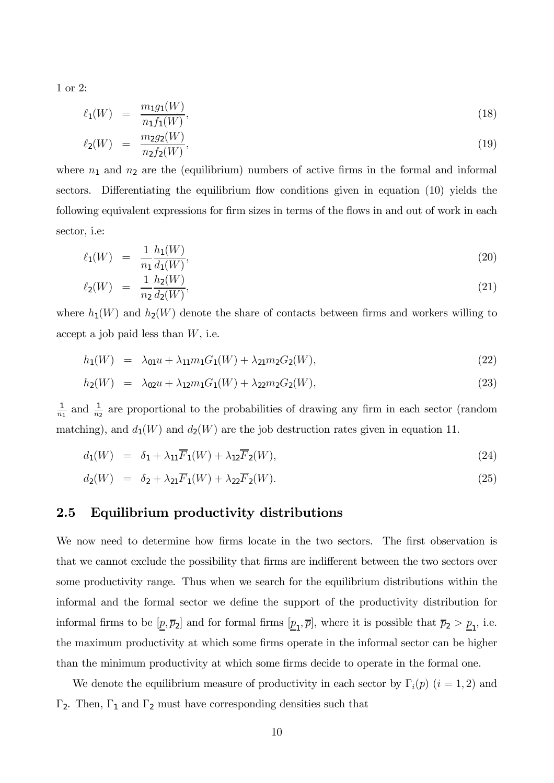1 or 2:

$$
\ell_1(W) = \frac{m_1 g_1(W)}{n_1 f_1(W)},
$$
\n(18)

$$
\ell_2(W) = \frac{m_2 g_2(W)}{n_2 f_2(W)},\tag{19}
$$

where  $n_1$  and  $n_2$  are the (equilibrium) numbers of active firms in the formal and informal sectors. Differentiating the equilibrium flow conditions given in equation (10) yields the following equivalent expressions for firm sizes in terms of the flows in and out of work in each sector, i.e:

$$
\ell_1(W) = \frac{1}{n_1} \frac{h_1(W)}{d_1(W)},\tag{20}
$$

$$
\ell_2(W) = \frac{1}{n_2} \frac{h_2(W)}{d_2(W)},\tag{21}
$$

where  $h_1(W)$  and  $h_2(W)$  denote the share of contacts between firms and workers willing to accept a job paid less than  $W$ , i.e.

$$
h_1(W) = \lambda_{01} u + \lambda_{11} m_1 G_1(W) + \lambda_{21} m_2 G_2(W), \qquad (22)
$$

$$
h_2(W) = \lambda_{02}u + \lambda_{12}m_1G_1(W) + \lambda_{22}m_2G_2(W), \qquad (23)
$$

 $\frac{1}{n_1}$  and  $\frac{1}{n_2}$  are proportional to the probabilities of drawing any firm in each sector (random matching), and  $d_1(W)$  and  $d_2(W)$  are the job destruction rates given in equation 11.

$$
d_1(W) = \delta_1 + \lambda_{11} \overline{F}_1(W) + \lambda_{12} \overline{F}_2(W), \qquad (24)
$$

$$
d_2(W) = \delta_2 + \lambda_{21} \overline{F}_1(W) + \lambda_{22} \overline{F}_2(W). \tag{25}
$$

## 2.5 Equilibrium productivity distributions

We now need to determine how firms locate in the two sectors. The first observation is that we cannot exclude the possibility that firms are indifferent between the two sectors over some productivity range. Thus when we search for the equilibrium distributions within the informal and the formal sector we define the support of the productivity distribution for informal firms to be  $[\underline{p}, \overline{p}_2]$  and for formal firms  $[\underline{p}_1, \overline{p}]$ , where it is possible that  $\overline{p}_2 > \underline{p}_1$ , i.e. the maximum productivity at which some firms operate in the informal sector can be higher than the minimum productivity at which some firms decide to operate in the formal one.

We denote the equilibrium measure of productivity in each sector by  $\Gamma_i(p)$   $(i = 1, 2)$  and  $\Gamma_2$ . Then,  $\Gamma_1$  and  $\Gamma_2$  must have corresponding densities such that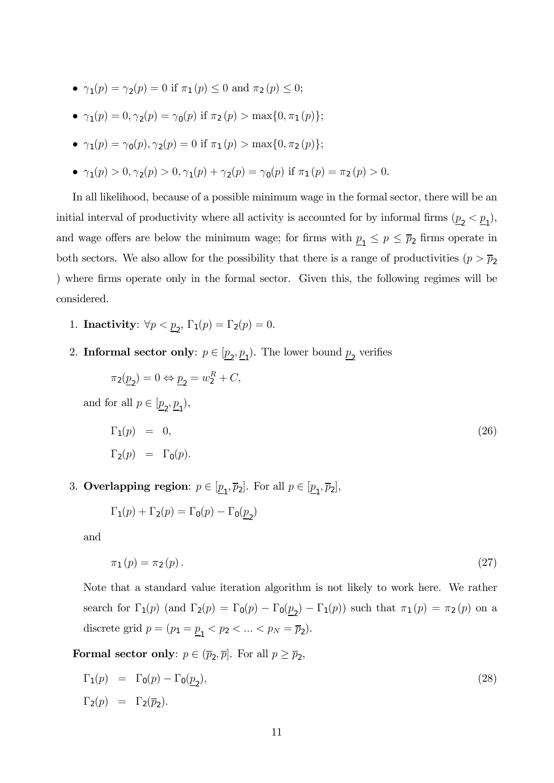- $\gamma_1(p) = \gamma_2(p) = 0$  if  $\pi_1(p) \le 0$  and  $\pi_2(p) \le 0$ ;
- $\gamma_1(p) = 0$ ,  $\gamma_2(p) = \gamma_0(p)$  if  $\pi_2(p) > \max\{0, \pi_1(p)\};$
- $\gamma_1(p) = \gamma_0(p), \gamma_2(p) = 0$  if  $\pi_1(p) > \max\{0, \pi_2(p)\};$
- $\gamma_1(p) > 0, \gamma_2(p) > 0, \gamma_1(p) + \gamma_2(p) = \gamma_0(p)$  if  $\pi_1(p) = \pi_2(p) > 0$ .

In all likelihood, because of a possible minimum wage in the formal sector, there will be an initial interval of productivity where all activity is accounted for by informal firms  $(\underline{p}_2 < \underline{p}_1)$ , and wage offers are below the minimum wage; for firms with  $p_1 \leq p \leq \bar{p}_2$  firms operate in both sectors. We also allow for the possibility that there is a range of productivities  $(p > \bar{p}_2)$ ) where firms operate only in the formal sector. Given this, the following regimes will be considered.

- 1. **Inactivity**:  $\forall p < p_2$ ,  $\Gamma_1(p) = \Gamma_2(p) = 0$ .
- 2. Informal sector only:  $p \in [\underline{p}_2, \underline{p}_1)$ . The lower bound  $\underline{p}_2$  verifies

$$
\pi_2(\underline{p}_2) = 0 \Leftrightarrow \underline{p}_2 = w_2^R + C,
$$
  
and for all  $p \in [\underline{p}_2, \underline{p}_1),$   

$$
\Gamma_1(p) = 0,
$$
  

$$
\Gamma_2(p) = \Gamma_0(p).
$$
 (26)

3. Overlapping region:  $p \in [\underline{p}_1, \overline{p}_2]$ . For all  $p \in [\underline{p}_1, \overline{p}_2]$ ,

$$
\Gamma_1(p) + \Gamma_2(p) = \Gamma_0(p) - \Gamma_0(\underline{p}_2)
$$

and

$$
\pi_1(p) = \pi_2(p). \tag{27}
$$

Note that a standard value iteration algorithm is not likely to work here. We rather search for  $\Gamma_1(p)$  (and  $\Gamma_2(p) = \Gamma_0(p) - \Gamma_0(\underline{p}_2) - \Gamma_1(p)$ ) such that  $\pi_1(p) = \pi_2(p)$  on a discrete grid  $p = (p_1 = \underline{p}_1 < p_2 < ... < p_N = \overline{p}_2).$ 

**Formal sector only:**  $p \in (\overline{p}_2, \overline{p}]$ . For all  $p \ge \overline{p}_2$ ,

$$
\Gamma_1(p) = \Gamma_0(p) - \Gamma_0(\underline{p}_2),
$$
  
\n
$$
\Gamma_2(p) = \Gamma_2(\overline{p}_2).
$$
\n(28)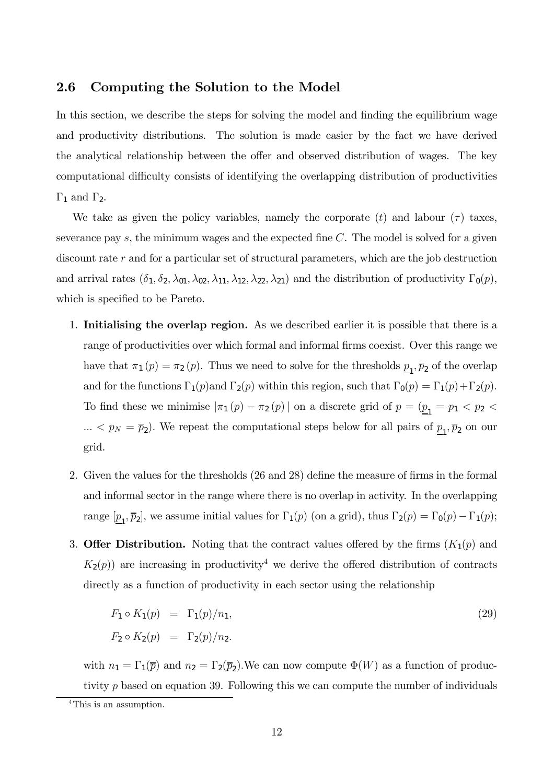### 2.6 Computing the Solution to the Model

In this section, we describe the steps for solving the model and finding the equilibrium wage and productivity distributions. The solution is made easier by the fact we have derived the analytical relationship between the offer and observed distribution of wages. The key computational difficulty consists of identifying the overlapping distribution of productivities  $Γ_1$  and  $Γ_2$ .

We take as given the policy variables, namely the corporate  $(t)$  and labour  $(\tau)$  taxes, severance pay  $s$ , the minimum wages and the expected fine  $C$ . The model is solved for a given discount rate r and for a particular set of structural parameters, which are the job destruction and arrival rates  $(\delta_1, \delta_2, \lambda_{01}, \lambda_{02}, \lambda_{11}, \lambda_{12}, \lambda_{22}, \lambda_{21})$  and the distribution of productivity  $\Gamma_0(p)$ , which is specified to be Pareto.

- 1. Initialising the overlap region. As we described earlier it is possible that there is a range of productivities over which formal and informal firms coexist. Over this range we have that  $\pi_1(p) = \pi_2(p)$ . Thus we need to solve for the thresholds  $\underline{p}_1, \overline{p}_2$  of the overlap and for the functions  $\Gamma_1(p)$  and  $\Gamma_2(p)$  within this region, such that  $\Gamma_0(p) = \Gamma_1(p) + \Gamma_2(p)$ . To find these we minimise  $|\pi_1(p) - \pi_2(p)|$  on a discrete grid of  $p = (p_1 = p_1 < p_2 <$  $\ldots < p_N = \overline{p}_2$ . We repeat the computational steps below for all pairs of  $\underline{p}_1, \overline{p}_2$  on our grid.
- 2. Given the values for the thresholds (26 and 28) define the measure of firms in the formal and informal sector in the range where there is no overlap in activity. In the overlapping range  $[\underline{p}_1, \overline{p}_2]$ , we assume initial values for  $\Gamma_1(p)$  (on a grid), thus  $\Gamma_2(p) = \Gamma_0(p) - \Gamma_1(p)$ ;
- 3. Offer Distribution. Noting that the contract values offered by the firms  $(K_1(p)$  and  $K_2(p)$  are increasing in productivity<sup>4</sup> we derive the offered distribution of contracts directly as a function of productivity in each sector using the relationship

$$
F_1 \circ K_1(p) = \Gamma_1(p)/n_1,
$$
  
\n
$$
F_2 \circ K_2(p) = \Gamma_2(p)/n_2.
$$
\n(29)

with  $n_1 = \Gamma_1(\bar{p})$  and  $n_2 = \Gamma_2(\bar{p}_2)$ . We can now compute  $\Phi(W)$  as a function of productivity  $p$  based on equation 39. Following this we can compute the number of individuals

<sup>4</sup>This is an assumption.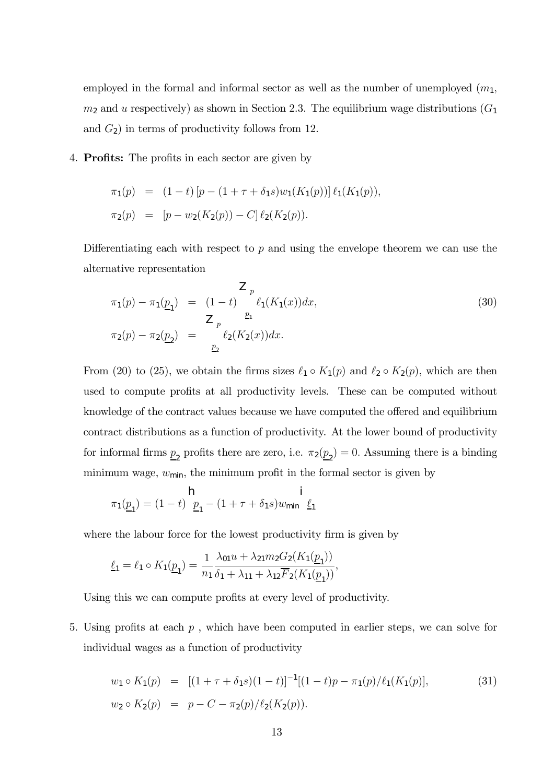employed in the formal and informal sector as well as the number of unemployed  $(m_1,$  $m_2$  and u respectively) as shown in Section 2.3. The equilibrium wage distributions  $(G_1)$ and  $G_2$ ) in terms of productivity follows from 12.

4. Profits: The profits in each sector are given by

$$
\pi_1(p) = (1-t) [p - (1 + \tau + \delta_1 s) w_1(K_1(p))] \ell_1(K_1(p)),
$$
  

$$
\pi_2(p) = [p - w_2(K_2(p)) - C] \ell_2(K_2(p)).
$$

Differentiating each with respect to  $p$  and using the envelope theorem we can use the alternative representation

$$
\pi_1(p) - \pi_1(\underline{p}_1) = (1 - t) \int_{\underline{p}_1}^{\underline{p}_1} \ell_1(K_1(x)) dx,
$$
\n
$$
\pi_2(p) - \pi_2(\underline{p}_2) = \int_{\underline{p}_2}^{\underline{p}_1} \ell_2(K_2(x)) dx.
$$
\n(30)

From (20) to (25), we obtain the firms sizes  $\ell_1 \circ K_1(p)$  and  $\ell_2 \circ K_2(p)$ , which are then used to compute profits at all productivity levels. These can be computed without knowledge of the contract values because we have computed the offered and equilibrium contract distributions as a function of productivity. At the lower bound of productivity for informal firms  $\underline{p}_2$  profits there are zero, i.e.  $\pi_2(\underline{p}_2) = 0$ . Assuming there is a binding minimum wage,  $w_{\text{min}}$ , the minimum profit in the formal sector is given by

$$
\pi_1(\underline{p}_1) = (1 - t) \frac{\mathsf{h}}{\underline{p}_1} - (1 + \tau + \delta_1 s) w_{\text{min}} \frac{\mathsf{i}}{\underline{\ell}_1}
$$

where the labour force for the lowest productivity firm is given by

$$
\underline{\ell}_1 = \ell_1 \circ K_1(\underline{p}_1) = \frac{1}{n_1} \frac{\lambda_{01} u + \lambda_{21} m_2 G_2(K_1(\underline{p}_1))}{\delta_1 + \lambda_{11} + \lambda_{12} \overline{F}_2(K_1(\underline{p}_1))},
$$

Using this we can compute profits at every level of productivity.

5. Using profits at each  $p$ , which have been computed in earlier steps, we can solve for individual wages as a function of productivity

$$
w_1 \circ K_1(p) = [(1 + \tau + \delta_1 s)(1 - t)]^{-1}[(1 - t)p - \pi_1(p)/\ell_1(K_1(p)],
$$
  
\n
$$
w_2 \circ K_2(p) = p - C - \pi_2(p)/\ell_2(K_2(p)).
$$
\n(31)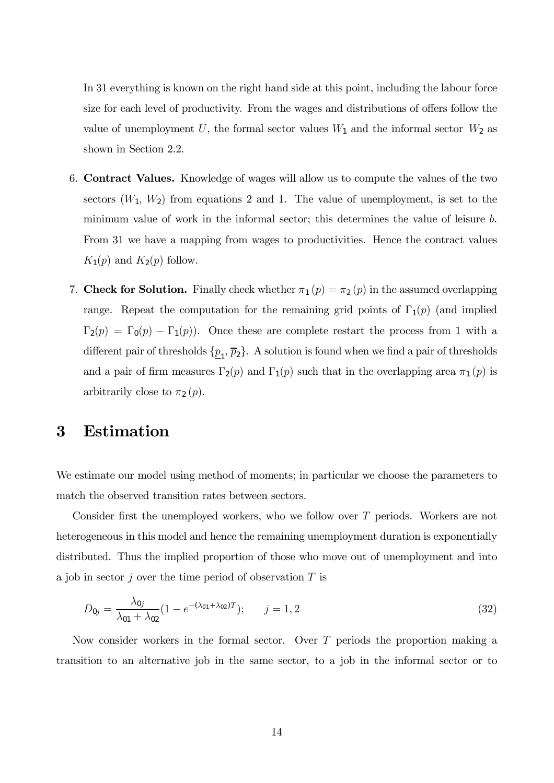In 31 everything is known on the right hand side at this point, including the labour force size for each level of productivity. From the wages and distributions of offers follow the value of unemployment U, the formal sector values  $W_1$  and the informal sector  $W_2$  as shown in Section 2.2.

- 6. Contract Values. Knowledge of wages will allow us to compute the values of the two sectors  $(W_1, W_2)$  from equations 2 and 1. The value of unemployment, is set to the minimum value of work in the informal sector; this determines the value of leisure b. From 31 we have a mapping from wages to productivities. Hence the contract values  $K_1(p)$  and  $K_2(p)$  follow.
- 7. Check for Solution. Finally check whether  $\pi_1(p) = \pi_2(p)$  in the assumed overlapping range. Repeat the computation for the remaining grid points of  $\Gamma_1(p)$  (and implied  $\Gamma_2(p) = \Gamma_0(p) - \Gamma_1(p)$ . Once these are complete restart the process from 1 with a different pair of thresholds  $\{p_1, \bar{p}_2\}$ . A solution is found when we find a pair of thresholds and a pair of firm measures  $\Gamma_2(p)$  and  $\Gamma_1(p)$  such that in the overlapping area  $\pi_1(p)$  is arbitrarily close to  $\pi_2(p)$ .

# 3 Estimation

We estimate our model using method of moments; in particular we choose the parameters to match the observed transition rates between sectors.

Consider first the unemployed workers, who we follow over T periods. Workers are not heterogeneous in this model and hence the remaining unemployment duration is exponentially distributed. Thus the implied proportion of those who move out of unemployment and into a job in sector  $j$  over the time period of observation  $T$  is

$$
D_{0j} = \frac{\lambda_{0j}}{\lambda_{01} + \lambda_{02}} (1 - e^{-(\lambda_{01} + \lambda_{02})T}); \qquad j = 1, 2
$$
\n(32)

Now consider workers in the formal sector. Over T periods the proportion making a transition to an alternative job in the same sector, to a job in the informal sector or to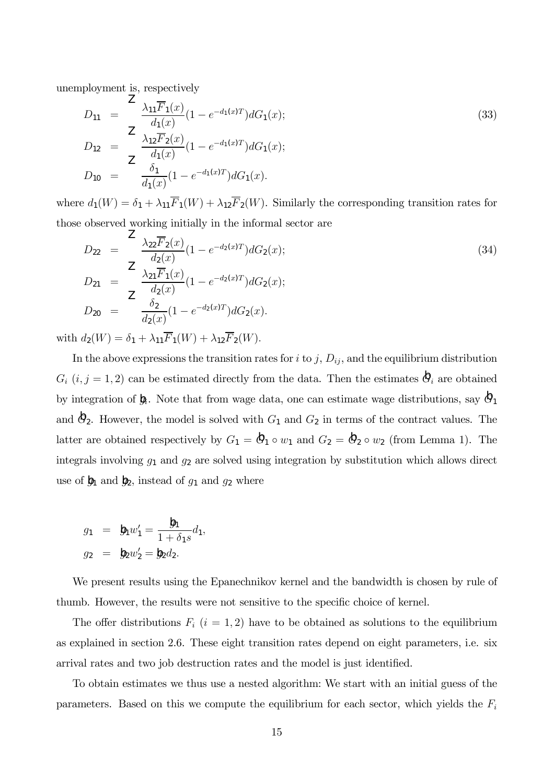unemployment is, respectively

$$
D_{11} = \frac{2}{d_1(x)} \frac{\lambda_{11} \overline{F}_1(x)}{d_1(x)} (1 - e^{-d_1(x)T}) dG_1(x);
$$
  
\n
$$
D_{12} = \frac{2}{d_1(x)} \frac{\lambda_{12} \overline{F}_2(x)}{d_1(x)} (1 - e^{-d_1(x)T}) dG_1(x);
$$
  
\n
$$
D_{10} = \frac{\delta_1}{d_1(x)} (1 - e^{-d_1(x)T}) dG_1(x).
$$
\n(33)

where  $d_1(W) = \delta_1 + \lambda_{11}\overline{F}_1(W) + \lambda_{12}\overline{F}_2(W)$ . Similarly the corresponding transition rates for those observed working initially in the informal sector are

$$
D_{22} = \frac{2}{d_2(x)} \frac{\lambda_{22} \overline{F}_2(x)}{d_2(x)} (1 - e^{-d_2(x)T}) dG_2(x);
$$
  
\n
$$
D_{21} = \frac{2}{d_2(x)} \frac{\lambda_{21} \overline{F}_1(x)}{d_2(x)} (1 - e^{-d_2(x)T}) dG_2(x);
$$
  
\n
$$
D_{20} = \frac{\delta_2}{d_2(x)} (1 - e^{-d_2(x)T}) dG_2(x).
$$
\n(34)

with  $d_2(W) = \delta_1 + \lambda_{11}\overline{F}_1(W) + \lambda_{12}\overline{F}_2(W)$ .

In the above expressions the transition rates for  $i$  to  $j$ ,  $D_{ij}$ , and the equilibrium distribution  $G_i$   $(i, j = 1, 2)$  can be estimated directly from the data. Then the estimates  $\mathcal{A}_i$  are obtained by integration of  $\mathbf{b}_i$ . Note that from wage data, one can estimate wage distributions, say  $\mathbf{b}_1$ and  $\mathcal{O}_2$ . However, the model is solved with  $G_1$  and  $G_2$  in terms of the contract values. The latter are obtained respectively by  $G_1 = \mathbf{\hat{Q}}_1 \circ w_1$  and  $G_2 = \mathbf{\hat{Q}}_2 \circ w_2$  (from Lemma 1). The integrals involving  $g_1$  and  $g_2$  are solved using integration by substitution which allows direct use of  $\mathbf{\hat{g}}_1$  and  $\mathbf{\hat{g}}_2$ , instead of  $g_1$  and  $g_2$  where

$$
g_1 = \mathbf{b}_1 w'_1 = \frac{\mathbf{b}_1}{1 + \delta_1 s} d_1,
$$
  
\n $g_2 = \mathbf{b}_2 w'_2 = \mathbf{b}_2 d_2.$ 

We present results using the Epanechnikov kernel and the bandwidth is chosen by rule of thumb. However, the results were not sensitive to the specific choice of kernel.

The offer distributions  $F_i$   $(i = 1, 2)$  have to be obtained as solutions to the equilibrium as explained in section 2.6. These eight transition rates depend on eight parameters, i.e. six arrival rates and two job destruction rates and the model is just identified.

To obtain estimates we thus use a nested algorithm: We start with an initial guess of the parameters. Based on this we compute the equilibrium for each sector, which yields the  $F_i$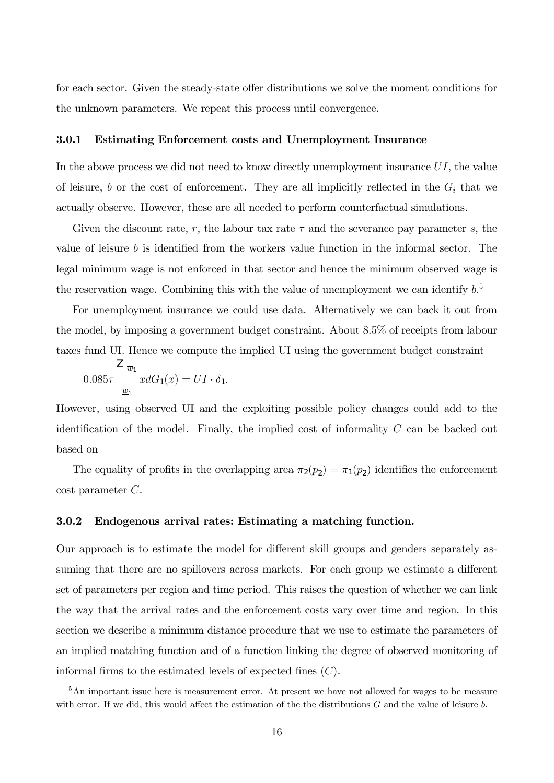for each sector. Given the steady-state offer distributions we solve the moment conditions for the unknown parameters. We repeat this process until convergence.

#### 3.0.1 Estimating Enforcement costs and Unemployment Insurance

In the above process we did not need to know directly unemployment insurance  $UI$ , the value of leisure, b or the cost of enforcement. They are all implicitly reflected in the  $G_i$  that we actually observe. However, these are all needed to perform counterfactual simulations.

Given the discount rate, r, the labour tax rate  $\tau$  and the severance pay parameter s, the value of leisure  $b$  is identified from the workers value function in the informal sector. The legal minimum wage is not enforced in that sector and hence the minimum observed wage is the reservation wage. Combining this with the value of unemployment we can identify  $b<sup>5</sup>$ 

For unemployment insurance we could use data. Alternatively we can back it out from the model, by imposing a government budget constraint. About 8.5% of receipts from labour taxes fund UI. Hence we compute the implied UI using the government budget constraint

$$
L_{\overline{w}_1}
$$
  
0.085 $\tau$   

$$
\underline{w}_1
$$
  

$$
xdG_1(x) = UI \cdot \delta_1.
$$

However, using observed UI and the exploiting possible policy changes could add to the identification of the model. Finally, the implied cost of informality  $C$  can be backed out based on

The equality of profits in the overlapping area  $\pi_2(\bar{p}_2) = \pi_1(\bar{p}_2)$  identifies the enforcement cost parameter C.

#### 3.0.2 Endogenous arrival rates: Estimating a matching function.

Our approach is to estimate the model for different skill groups and genders separately assuming that there are no spillovers across markets. For each group we estimate a different set of parameters per region and time period. This raises the question of whether we can link the way that the arrival rates and the enforcement costs vary over time and region. In this section we describe a minimum distance procedure that we use to estimate the parameters of an implied matching function and of a function linking the degree of observed monitoring of informal firms to the estimated levels of expected fines  $(C)$ .

<sup>&</sup>lt;sup>5</sup>An important issue here is measurement error. At present we have not allowed for wages to be measure with error. If we did, this would affect the estimation of the the distributions  $G$  and the value of leisure  $b$ .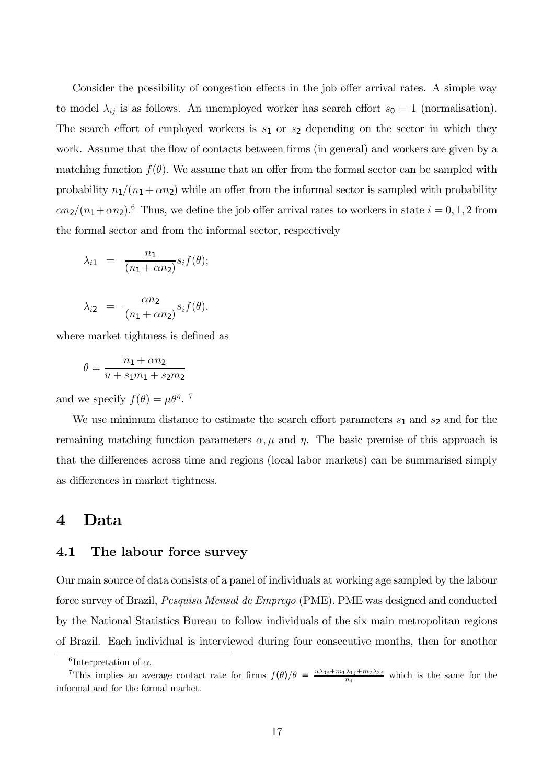Consider the possibility of congestion effects in the job offer arrival rates. A simple way to model  $\lambda_{ij}$  is as follows. An unemployed worker has search effort  $s_0 = 1$  (normalisation). The search effort of employed workers is  $s_1$  or  $s_2$  depending on the sector in which they work. Assume that the flow of contacts between firms (in general) and workers are given by a matching function  $f(\theta)$ . We assume that an offer from the formal sector can be sampled with probability  $n_1/(n_1 + \alpha n_2)$  while an offer from the informal sector is sampled with probability  $\alpha n_2/(n_1 + \alpha n_2)$ .<sup>6</sup> Thus, we define the job offer arrival rates to workers in state  $i = 0, 1, 2$  from the formal sector and from the informal sector, respectively

$$
\lambda_{i1} = \frac{n_1}{(n_1 + \alpha n_2)} s_i f(\theta);
$$

$$
\lambda_{i2} = \frac{\alpha n_2}{(n_1 + \alpha n_2)} s_i f(\theta).
$$

where market tightness is defined as

$$
\theta = \frac{n_1 + \alpha n_2}{u + s_1 m_1 + s_2 m_2}
$$

and we specify  $f(\theta) = \mu \theta^{\eta}$ .<sup>7</sup>

We use minimum distance to estimate the search effort parameters  $s_1$  and  $s_2$  and for the remaining matching function parameters  $\alpha$ ,  $\mu$  and  $\eta$ . The basic premise of this approach is that the differences across time and regions (local labor markets) can be summarised simply as differences in market tightness.

## 4 Data

#### 4.1 The labour force survey

Our main source of data consists of a panel of individuals at working age sampled by the labour force survey of Brazil, Pesquisa Mensal de Emprego (PME). PME was designed and conducted by the National Statistics Bureau to follow individuals of the six main metropolitan regions of Brazil. Each individual is interviewed during four consecutive months, then for another

<sup>&</sup>lt;sup>6</sup>Interpretation of  $\alpha$ .

<sup>&</sup>lt;sup>7</sup>This implies an average contact rate for firms  $f(\theta)/\theta = \frac{u\lambda_{0j} + m_1\lambda_{1j} + m_2\lambda_{2j}}{n_j}$  which is the same for the informal and for the formal market.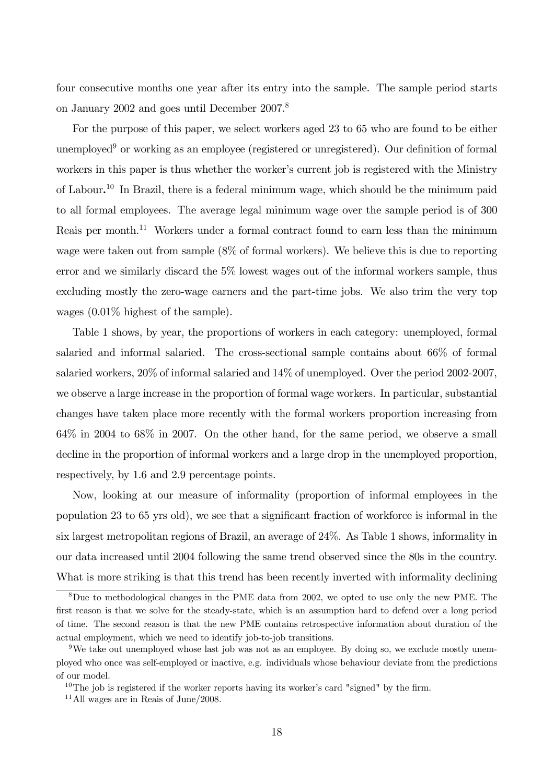four consecutive months one year after its entry into the sample. The sample period starts on January 2002 and goes until December 2007.8

For the purpose of this paper, we select workers aged 23 to 65 who are found to be either unemployed<sup>9</sup> or working as an employee (registered or unregistered). Our definition of formal workers in this paper is thus whether the worker's current job is registered with the Ministry of Labour. <sup>10</sup> In Brazil, there is a federal minimum wage, which should be the minimum paid to all formal employees. The average legal minimum wage over the sample period is of 300 Reais per month.<sup>11</sup> Workers under a formal contract found to earn less than the minimum wage were taken out from sample (8% of formal workers). We believe this is due to reporting error and we similarly discard the 5% lowest wages out of the informal workers sample, thus excluding mostly the zero-wage earners and the part-time jobs. We also trim the very top wages (0.01% highest of the sample).

Table 1 shows, by year, the proportions of workers in each category: unemployed, formal salaried and informal salaried. The cross-sectional sample contains about 66% of formal salaried workers, 20% of informal salaried and 14% of unemployed. Over the period 2002-2007, we observe a large increase in the proportion of formal wage workers. In particular, substantial changes have taken place more recently with the formal workers proportion increasing from 64% in 2004 to 68% in 2007. On the other hand, for the same period, we observe a small decline in the proportion of informal workers and a large drop in the unemployed proportion, respectively, by 1.6 and 2.9 percentage points.

Now, looking at our measure of informality (proportion of informal employees in the population 23 to 65 yrs old), we see that a significant fraction of workforce is informal in the six largest metropolitan regions of Brazil, an average of 24%. As Table 1 shows, informality in our data increased until 2004 following the same trend observed since the 80s in the country. What is more striking is that this trend has been recently inverted with informality declining

<sup>8</sup>Due to methodological changes in the PME data from 2002, we opted to use only the new PME. The first reason is that we solve for the steady-state, which is an assumption hard to defend over a long period of time. The second reason is that the new PME contains retrospective information about duration of the actual employment, which we need to identify job-to-job transitions.

<sup>&</sup>lt;sup>9</sup>We take out unemployed whose last job was not as an employee. By doing so, we exclude mostly unemployed who once was self-employed or inactive, e.g. individuals whose behaviour deviate from the predictions of our model.

 $10$ The job is registered if the worker reports having its worker's card "signed" by the firm.

<sup>11</sup>All wages are in Reais of June/2008.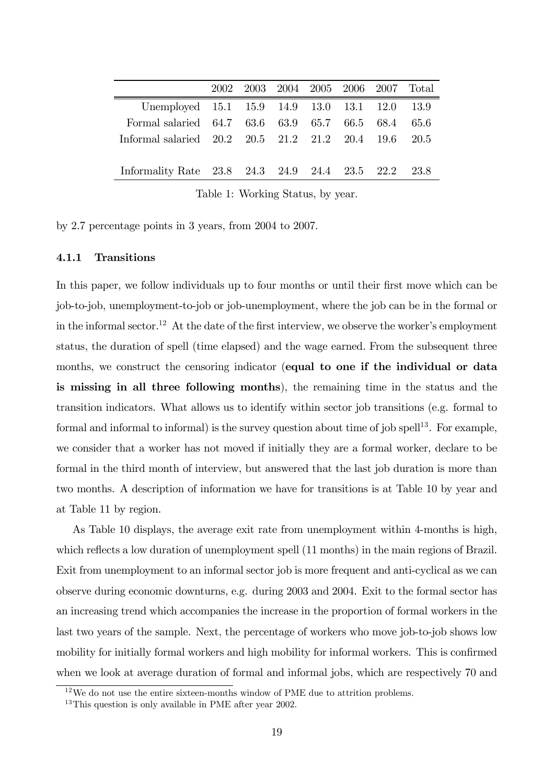|                                                      |  | 2002 2003 2004 2005 2006 2007 Total |  |      |
|------------------------------------------------------|--|-------------------------------------|--|------|
| Unemployed 15.1 15.9 14.9 13.0 13.1 12.0 13.9        |  |                                     |  |      |
| Formal salaried 64.7 63.6 63.9 65.7 66.5 68.4        |  |                                     |  | 65.6 |
| Informal salaried 20.2 20.5 21.2 21.2 20.4 19.6 20.5 |  |                                     |  |      |
|                                                      |  |                                     |  |      |
| Informality Rate 23.8 24.3 24.9 24.4 23.5 22.2 23.8  |  |                                     |  |      |
|                                                      |  |                                     |  |      |

Table 1: Working Status, by year.

by 2.7 percentage points in 3 years, from 2004 to 2007.

#### 4.1.1 Transitions

In this paper, we follow individuals up to four months or until their first move which can be job-to-job, unemployment-to-job or job-unemployment, where the job can be in the formal or in the informal sector.<sup>12</sup> At the date of the first interview, we observe the worker's employment status, the duration of spell (time elapsed) and the wage earned. From the subsequent three months, we construct the censoring indicator (equal to one if the individual or data is missing in all three following months), the remaining time in the status and the transition indicators. What allows us to identify within sector job transitions (e.g. formal to formal and informal to informal) is the survey question about time of job spell<sup>13</sup>. For example, we consider that a worker has not moved if initially they are a formal worker, declare to be formal in the third month of interview, but answered that the last job duration is more than two months. A description of information we have for transitions is at Table 10 by year and at Table 11 by region.

As Table 10 displays, the average exit rate from unemployment within 4-months is high, which reflects a low duration of unemployment spell  $(11 \text{ months})$  in the main regions of Brazil. Exit from unemployment to an informal sector job is more frequent and anti-cyclical as we can observe during economic downturns, e.g. during 2003 and 2004. Exit to the formal sector has an increasing trend which accompanies the increase in the proportion of formal workers in the last two years of the sample. Next, the percentage of workers who move job-to-job shows low mobility for initially formal workers and high mobility for informal workers. This is confirmed when we look at average duration of formal and informal jobs, which are respectively 70 and

 $12$ We do not use the entire sixteen-months window of PME due to attrition problems.

<sup>&</sup>lt;sup>13</sup>This question is only available in PME after year 2002.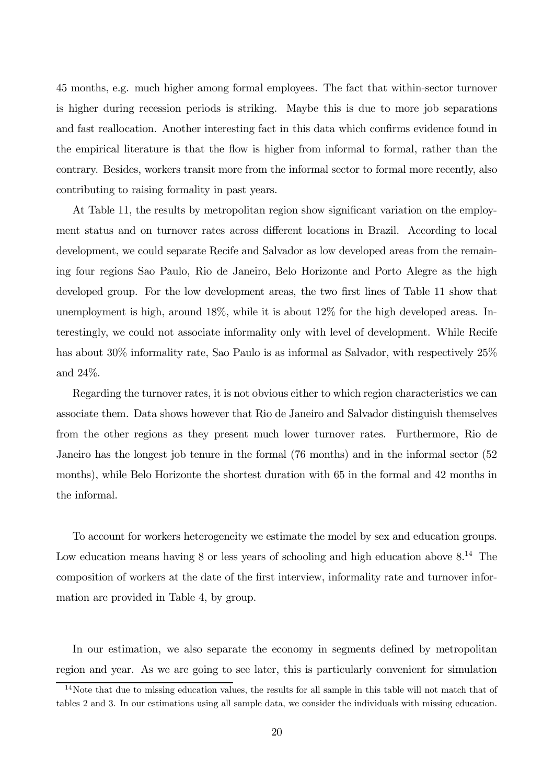45 months, e.g. much higher among formal employees. The fact that within-sector turnover is higher during recession periods is striking. Maybe this is due to more job separations and fast reallocation. Another interesting fact in this data which confirms evidence found in the empirical literature is that the flow is higher from informal to formal, rather than the contrary. Besides, workers transit more from the informal sector to formal more recently, also contributing to raising formality in past years.

At Table 11, the results by metropolitan region show significant variation on the employment status and on turnover rates across different locations in Brazil. According to local development, we could separate Recife and Salvador as low developed areas from the remaining four regions Sao Paulo, Rio de Janeiro, Belo Horizonte and Porto Alegre as the high developed group. For the low development areas, the two first lines of Table 11 show that unemployment is high, around 18%, while it is about 12% for the high developed areas. Interestingly, we could not associate informality only with level of development. While Recife has about 30% informality rate, Sao Paulo is as informal as Salvador, with respectively  $25\%$ and 24%.

Regarding the turnover rates, it is not obvious either to which region characteristics we can associate them. Data shows however that Rio de Janeiro and Salvador distinguish themselves from the other regions as they present much lower turnover rates. Furthermore, Rio de Janeiro has the longest job tenure in the formal (76 months) and in the informal sector (52 months), while Belo Horizonte the shortest duration with 65 in the formal and 42 months in the informal.

To account for workers heterogeneity we estimate the model by sex and education groups. Low education means having 8 or less years of schooling and high education above  $8^{14}$ . The composition of workers at the date of the first interview, informality rate and turnover information are provided in Table 4, by group.

In our estimation, we also separate the economy in segments defined by metropolitan region and year. As we are going to see later, this is particularly convenient for simulation

<sup>&</sup>lt;sup>14</sup>Note that due to missing education values, the results for all sample in this table will not match that of tables 2 and 3. In our estimations using all sample data, we consider the individuals with missing education.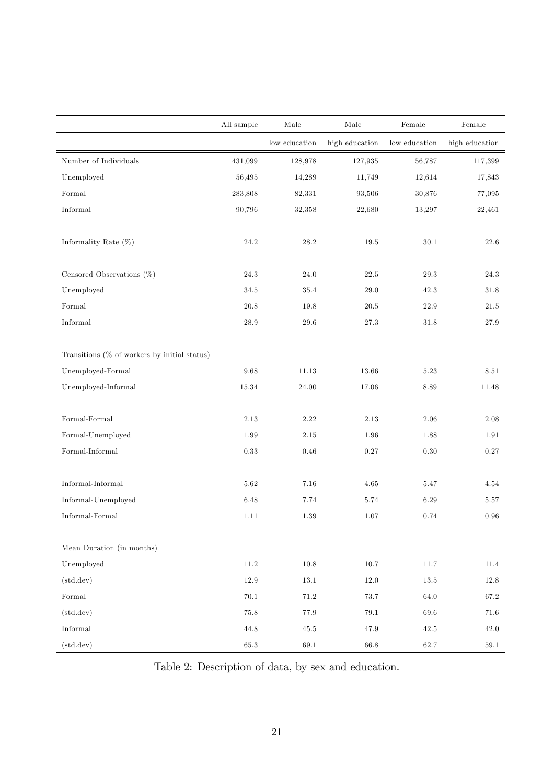|                                              | All sample | Male          | Male           | Female        | Female         |
|----------------------------------------------|------------|---------------|----------------|---------------|----------------|
|                                              |            | low education | high education | low education | high education |
| Number of Individuals                        | 431,099    | 128,978       | 127,935        | 56,787        | 117,399        |
| Unemployed                                   | 56,495     | 14,289        | 11,749         | 12,614        | 17,843         |
| Formal                                       | 283,808    | 82,331        | 93,506         | 30,876        | 77,095         |
| Informal                                     | 90,796     | 32,358        | 22,680         | 13,297        | 22,461         |
| Informality Rate $(\%)$                      | $24.2\,$   | 28.2          | 19.5           | $30.1\,$      | 22.6           |
| Censored Observations $(\%)$                 | $24.3\,$   | $24.0\,$      | 22.5           | 29.3          | 24.3           |
| Unemployed                                   | $34.5\,$   | $35.4\,$      | $29.0\,$       | $42.3\,$      | 31.8           |
| Formal                                       | 20.8       | 19.8          | $20.5\,$       | 22.9          | 21.5           |
| $\qquad \qquad In formal$                    | $28.9\,$   | $29.6\,$      | $27.3\,$       | $31.8\,$      | $27.9\,$       |
| Transitions (% of workers by initial status) |            |               |                |               |                |
| Unemployed-Formal                            | 9.68       | 11.13         | 13.66          | 5.23          | 8.51           |
| Unemployed-Informal                          | $15.34\,$  | 24.00         | 17.06          | 8.89          | 11.48          |
| ${\tt Formal\text{-}Formal}$                 | 2.13       | 2.22          | 2.13           | 2.06          | 2.08           |
| Formal-Unemployed                            | $1.99\,$   | $2.15\,$      | $1.96\,$       | $1.88\,$      | 1.91           |
| $Formal-Informal$                            | 0.33       | 0.46          | 0.27           | $0.30\,$      | 0.27           |
| Informal-Informal                            | 5.62       | 7.16          | 4.65           | 5.47          | 4.54           |
| Informal-Unemployed                          | 6.48       | 7.74          | 5.74           | 6.29          | 5.57           |
| Informal-Formal                              | 1.11       | 1.39          | 1.07           | 0.74          | 0.96           |
| Mean Duration (in months)                    |            |               |                |               |                |
| Unemployed                                   | $11.2\,$   | $10.8\,$      | $10.7\,$       | $11.7\,$      | 11.4           |
| (std. dev)                                   | 12.9       | $13.1\,$      | $12.0\,$       | $13.5\,$      | $12.8\,$       |
| Formal                                       | $70.1\,$   | $71.2\,$      | 73.7           | $64.0\,$      | 67.2           |
| (std. dev)                                   | $75.8\,$   | 77.9          | $79.1\,$       | $69.6\,$      | $71.6\,$       |
| Informal                                     | $44.8\,$   | $45.5\,$      | $47.9\,$       | $42.5\,$      | $42.0\,$       |
| (std. dev)                                   | $65.3\,$   | $69.1\,$      | $66.8\,$       | 62.7          | $59.1\,$       |

Table 2: Description of data, by sex and education.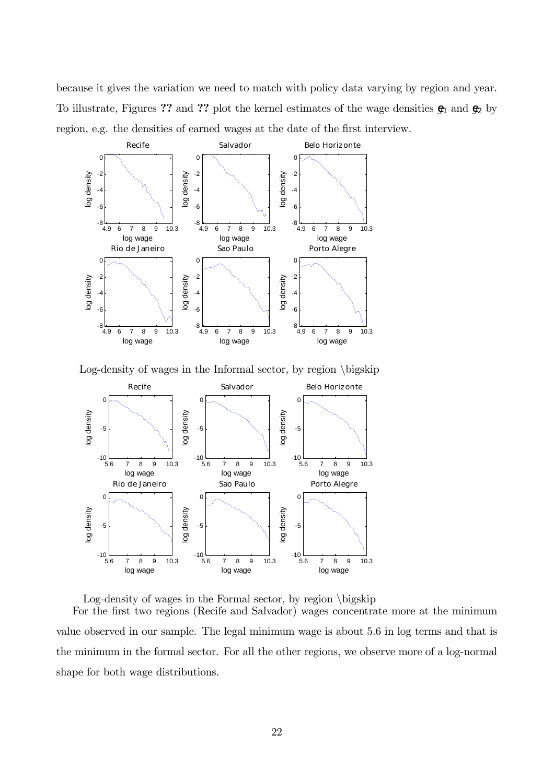because it gives the variation we need to match with policy data varying by region and year. To illustrate, Figures ?? and ?? plot the kernel estimates of the wage densities  $\mathfrak{g}_1$  and  $\mathfrak{g}_2$  by region, e.g. the densities of earned wages at the date of the first interview.



Log-density of wages in the Informal sector, by region \bigskip



Log-density of wages in the Formal sector, by region \bigskip

For the first two regions (Recife and Salvador) wages concentrate more at the minimum value observed in our sample. The legal minimum wage is about 5.6 in log terms and that is the minimum in the formal sector. For all the other regions, we observe more of a log-normal shape for both wage distributions.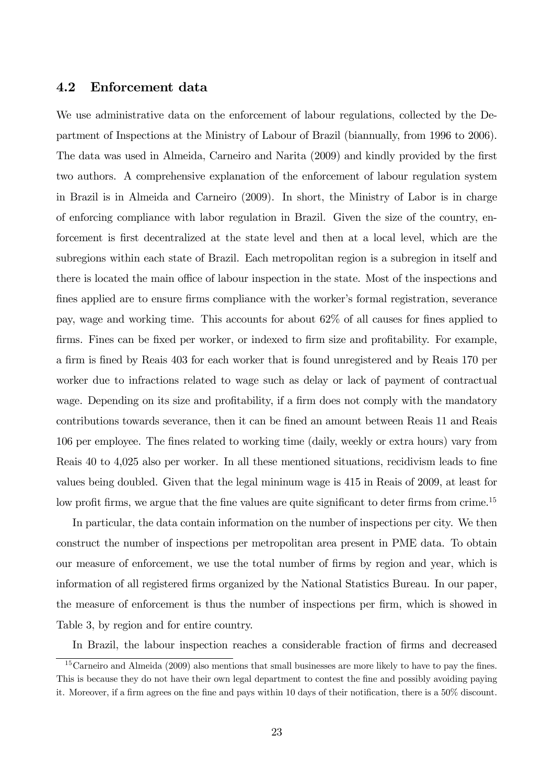## 4.2 Enforcement data

We use administrative data on the enforcement of labour regulations, collected by the Department of Inspections at the Ministry of Labour of Brazil (biannually, from 1996 to 2006). The data was used in Almeida, Carneiro and Narita (2009) and kindly provided by the first two authors. A comprehensive explanation of the enforcement of labour regulation system in Brazil is in Almeida and Carneiro (2009). In short, the Ministry of Labor is in charge of enforcing compliance with labor regulation in Brazil. Given the size of the country, enforcement is first decentralized at the state level and then at a local level, which are the subregions within each state of Brazil. Each metropolitan region is a subregion in itself and there is located the main office of labour inspection in the state. Most of the inspections and fines applied are to ensure firms compliance with the worker's formal registration, severance pay, wage and working time. This accounts for about 62% of all causes for fines applied to firms. Fines can be fixed per worker, or indexed to firm size and profitability. For example, a firm is fined by Reais 403 for each worker that is found unregistered and by Reais 170 per worker due to infractions related to wage such as delay or lack of payment of contractual wage. Depending on its size and profitability, if a firm does not comply with the mandatory contributions towards severance, then it can be fined an amount between Reais 11 and Reais 106 per employee. The fines related to working time (daily, weekly or extra hours) vary from Reais 40 to 4,025 also per worker. In all these mentioned situations, recidivism leads to fine values being doubled. Given that the legal mininum wage is 415 in Reais of 2009, at least for low profit firms, we argue that the fine values are quite significant to deter firms from crime.<sup>15</sup>

In particular, the data contain information on the number of inspections per city. We then construct the number of inspections per metropolitan area present in PME data. To obtain our measure of enforcement, we use the total number of firms by region and year, which is information of all registered firms organized by the National Statistics Bureau. In our paper, the measure of enforcement is thus the number of inspections per firm, which is showed in Table 3, by region and for entire country.

In Brazil, the labour inspection reaches a considerable fraction of firms and decreased

<sup>&</sup>lt;sup>15</sup>Carneiro and Almeida (2009) also mentions that small businesses are more likely to have to pay the fines. This is because they do not have their own legal department to contest the fine and possibly avoiding paying it. Moreover, if a firm agrees on the fine and pays within 10 days of their notification, there is a 50% discount.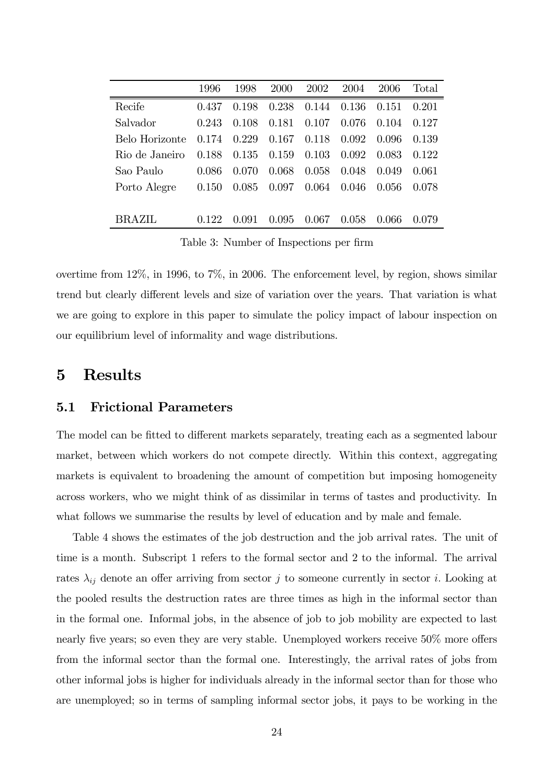|                | 1996  | 1998    | <b>2000</b> | 2002  | 2004  | 2006  | Total |
|----------------|-------|---------|-------------|-------|-------|-------|-------|
| Recife         | 0.437 | 0.198   | 0.238       | 0.144 | 0.136 | 0.151 | 0.201 |
| Salvador       | 0.243 | 0.108   | 0.181       | 0.107 | 0.076 | 0.104 | 0.127 |
| Belo Horizonte | 0.174 | 0.229   | 0.167       | 0.118 | 0.092 | 0.096 | 0.139 |
| Rio de Janeiro | 0.188 | 0.135   | 0.159       | 0.103 | 0.092 | 0.083 | 0.122 |
| Sao Paulo      | 0.086 | 0.070   | 0.068       | 0.058 | 0.048 | 0.049 | 0.061 |
| Porto Alegre   | 0.150 | 0.085   | 0.097       | 0.064 | 0.046 | 0.056 | 0.078 |
|                |       |         |             |       |       |       |       |
| <b>BRAZIL</b>  | 0.122 | (1.091) | 0.095       | 0.067 | 0.058 | 0.066 | 0.079 |
|                |       |         |             |       |       |       |       |

Table 3: Number of Inspections per firm

overtime from 12%, in 1996, to 7%, in 2006. The enforcement level, by region, shows similar trend but clearly different levels and size of variation over the years. That variation is what we are going to explore in this paper to simulate the policy impact of labour inspection on our equilibrium level of informality and wage distributions.

# 5 Results

#### 5.1 Frictional Parameters

The model can be fitted to different markets separately, treating each as a segmented labour market, between which workers do not compete directly. Within this context, aggregating markets is equivalent to broadening the amount of competition but imposing homogeneity across workers, who we might think of as dissimilar in terms of tastes and productivity. In what follows we summarise the results by level of education and by male and female.

Table 4 shows the estimates of the job destruction and the job arrival rates. The unit of time is a month. Subscript 1 refers to the formal sector and 2 to the informal. The arrival rates  $\lambda_{ij}$  denote an offer arriving from sector j to someone currently in sector i. Looking at the pooled results the destruction rates are three times as high in the informal sector than in the formal one. Informal jobs, in the absence of job to job mobility are expected to last nearly five years; so even they are very stable. Unemployed workers receive 50% more offers from the informal sector than the formal one. Interestingly, the arrival rates of jobs from other informal jobs is higher for individuals already in the informal sector than for those who are unemployed; so in terms of sampling informal sector jobs, it pays to be working in the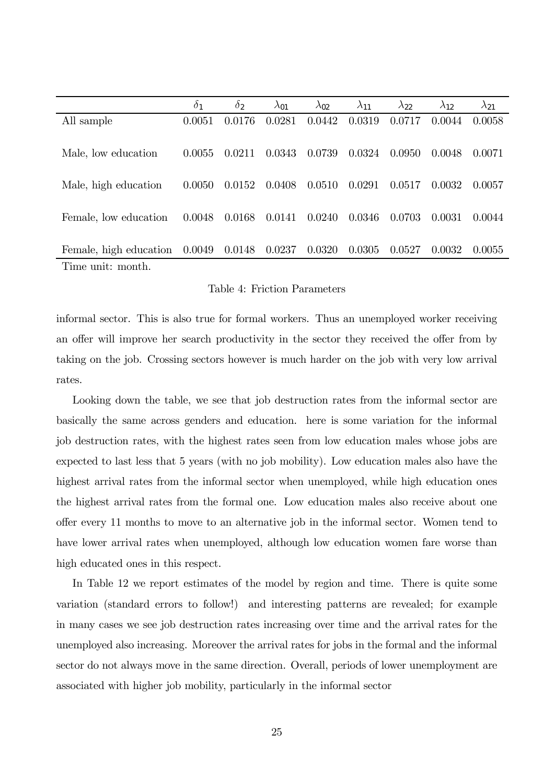|                                          | $\delta_1$ | $\delta_2$ | $\lambda_{01}$ | $\lambda_{02}$ | $\lambda_{11}$ | $\lambda_{22}$ | $\lambda_{12}$ | $\lambda_{21}$ |
|------------------------------------------|------------|------------|----------------|----------------|----------------|----------------|----------------|----------------|
| All sample                               | 0.0051     | 0.0176     | 0.0281         | 0.0442         | 0.0319         | 0.0717         | 0.0044         | 0.0058         |
|                                          |            |            |                |                |                |                |                |                |
| Male, low education                      | 0.0055     | 0.0211     | 0.0343         | 0.0739         | 0.0324         | 0.0950         | 0.0048         | 0.0071         |
|                                          |            |            |                |                |                |                |                |                |
| Male, high education                     | 0.0050     | 0.0152     | 0.0408         | 0.0510         | 0.0291         | 0.0517         | 0.0032         | 0.0057         |
|                                          |            |            |                |                |                |                |                |                |
| Female, low education                    | 0.0048     | 0.0168     | 0.0141         | 0.0240         | 0.0346         | 0.0703         | 0.0031         | 0.0044         |
|                                          |            |            |                |                |                |                |                |                |
| Female, high education $0.0049$ $0.0148$ |            |            | 0.0237         | 0.0320         | 0.0305         | 0.0527         | 0.0032         | 0.0055         |
| Time unit: month.                        |            |            |                |                |                |                |                |                |

#### Table 4: Friction Parameters

informal sector. This is also true for formal workers. Thus an unemployed worker receiving an offer will improve her search productivity in the sector they received the offer from by taking on the job. Crossing sectors however is much harder on the job with very low arrival rates.

Looking down the table, we see that job destruction rates from the informal sector are basically the same across genders and education. here is some variation for the informal job destruction rates, with the highest rates seen from low education males whose jobs are expected to last less that 5 years (with no job mobility). Low education males also have the highest arrival rates from the informal sector when unemployed, while high education ones the highest arrival rates from the formal one. Low education males also receive about one offer every 11 months to move to an alternative job in the informal sector. Women tend to have lower arrival rates when unemployed, although low education women fare worse than high educated ones in this respect.

In Table 12 we report estimates of the model by region and time. There is quite some variation (standard errors to follow!) and interesting patterns are revealed; for example in many cases we see job destruction rates increasing over time and the arrival rates for the unemployed also increasing. Moreover the arrival rates for jobs in the formal and the informal sector do not always move in the same direction. Overall, periods of lower unemployment are associated with higher job mobility, particularly in the informal sector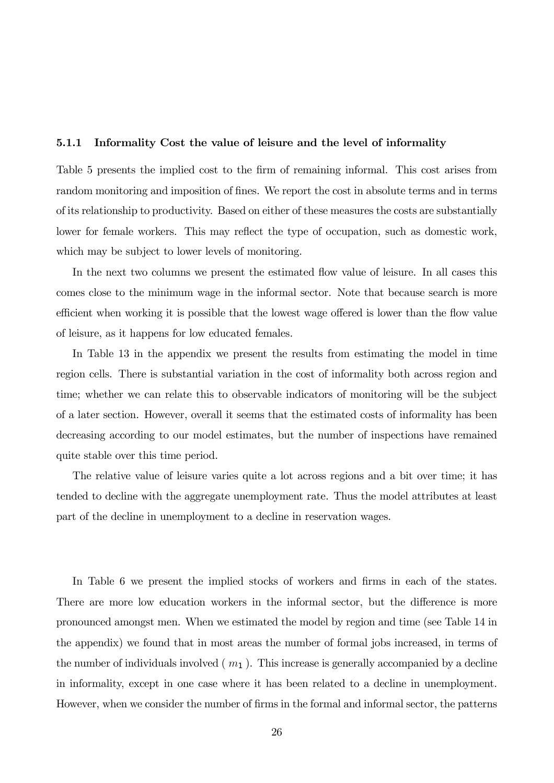#### 5.1.1 Informality Cost the value of leisure and the level of informality

Table 5 presents the implied cost to the firm of remaining informal. This cost arises from random monitoring and imposition of fines. We report the cost in absolute terms and in terms of its relationship to productivity. Based on either of these measures the costs are substantially lower for female workers. This may reflect the type of occupation, such as domestic work, which may be subject to lower levels of monitoring.

In the next two columns we present the estimated flow value of leisure. In all cases this comes close to the minimum wage in the informal sector. Note that because search is more efficient when working it is possible that the lowest wage offered is lower than the flow value of leisure, as it happens for low educated females.

In Table 13 in the appendix we present the results from estimating the model in time region cells. There is substantial variation in the cost of informality both across region and time; whether we can relate this to observable indicators of monitoring will be the subject of a later section. However, overall it seems that the estimated costs of informality has been decreasing according to our model estimates, but the number of inspections have remained quite stable over this time period.

The relative value of leisure varies quite a lot across regions and a bit over time; it has tended to decline with the aggregate unemployment rate. Thus the model attributes at least part of the decline in unemployment to a decline in reservation wages.

In Table 6 we present the implied stocks of workers and firms in each of the states. There are more low education workers in the informal sector, but the difference is more pronounced amongst men. When we estimated the model by region and time (see Table 14 in the appendix) we found that in most areas the number of formal jobs increased, in terms of the number of individuals involved  $(m_1)$ . This increase is generally accompanied by a decline in informality, except in one case where it has been related to a decline in unemployment. However, when we consider the number of firms in the formal and informal sector, the patterns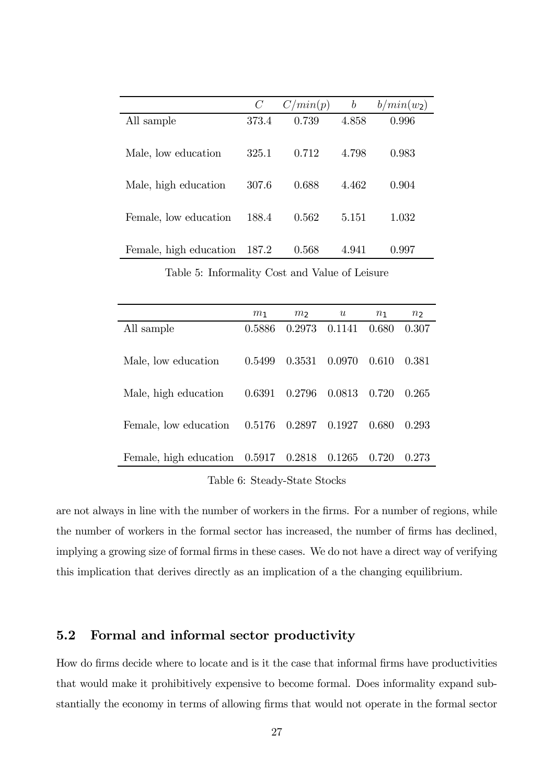|                        | $\mathcal{C}$ | C/min(p) | $\boldsymbol{b}$ | $b/min(w_2)$ |
|------------------------|---------------|----------|------------------|--------------|
| All sample             | 373.4         | 0.739    | 4.858            | 0.996        |
| Male, low education    | 325.1         | 0.712    | 4.798            | 0.983        |
| Male, high education   | 307.6         | 0.688    | 4.462            | 0.904        |
| Female, low education  | 188.4         | 0.562    | 5.151            | 1.032        |
| Female, high education | 187.2         | 0.568    | 4.941            | 0.997        |

Table 5: Informality Cost and Value of Leisure

|                                        | $m_1$  | m <sub>2</sub> | u      | $n_1$ | n <sub>2</sub> |
|----------------------------------------|--------|----------------|--------|-------|----------------|
| All sample                             | 0.5886 | 0.2973         | 0.1141 | 0.680 | 0.307          |
| Male, low education                    | 0.5499 | 0.3531         | 0.0970 | 0.610 | 0.381          |
| Male, high education                   | 0.6391 | 0.2796         | 0.0813 | 0.720 | 0.265          |
| Female, low education                  | 0.5176 | 0.2897         | 0.1927 | 0.680 | 0.293          |
| Female, high education $0.5917$ 0.2818 |        |                | 0.1265 | 0.720 | 0.273          |

Table 6: Steady-State Stocks

are not always in line with the number of workers in the firms. For a number of regions, while the number of workers in the formal sector has increased, the number of firms has declined, implying a growing size of formal firms in these cases. We do not have a direct way of verifying this implication that derives directly as an implication of a the changing equilibrium.

### 5.2 Formal and informal sector productivity

How do firms decide where to locate and is it the case that informal firms have productivities that would make it prohibitively expensive to become formal. Does informality expand substantially the economy in terms of allowing firms that would not operate in the formal sector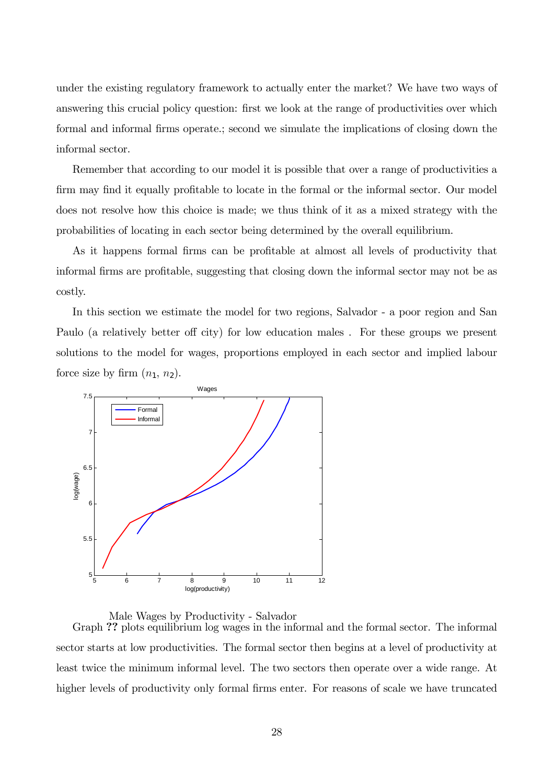under the existing regulatory framework to actually enter the market? We have two ways of answering this crucial policy question: first we look at the range of productivities over which formal and informal firms operate.; second we simulate the implications of closing down the informal sector.

Remember that according to our model it is possible that over a range of productivities a firm may find it equally profitable to locate in the formal or the informal sector. Our model does not resolve how this choice is made; we thus think of it as a mixed strategy with the probabilities of locating in each sector being determined by the overall equilibrium.

As it happens formal firms can be profitable at almost all levels of productivity that informal firms are profitable, suggesting that closing down the informal sector may not be as costly.

In this section we estimate the model for two regions, Salvador - a poor region and San Paulo (a relatively better off city) for low education males . For these groups we present solutions to the model for wages, proportions employed in each sector and implied labour force size by firm  $(n_1, n_2)$ .



Male Wages by Productivity - Salvador

Graph ?? plots equilibrium log wages in the informal and the formal sector. The informal sector starts at low productivities. The formal sector then begins at a level of productivity at least twice the minimum informal level. The two sectors then operate over a wide range. At higher levels of productivity only formal firms enter. For reasons of scale we have truncated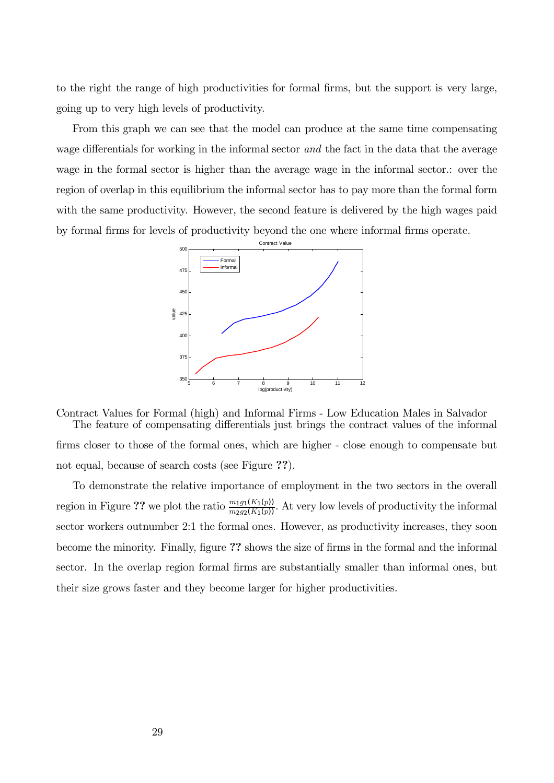to the right the range of high productivities for formal firms, but the support is very large, going up to very high levels of productivity.

From this graph we can see that the model can produce at the same time compensating wage differentials for working in the informal sector and the fact in the data that the average wage in the formal sector is higher than the average wage in the informal sector.: over the region of overlap in this equilibrium the informal sector has to pay more than the formal form with the same productivity. However, the second feature is delivered by the high wages paid by formal firms for levels of productivity beyond the one where informal firms operate.



Contract Values for Formal (high) and Informal Firms - Low Education Males in Salvador The feature of compensating differentials just brings the contract values of the informal firms closer to those of the formal ones, which are higher - close enough to compensate but not equal, because of search costs (see Figure ??).

To demonstrate the relative importance of employment in the two sectors in the overall region in Figure ?? we plot the ratio  $\frac{m_1g_1(K_1(p))}{m_2g_2(K_1(p))}$ . At very low levels of productivity the informal sector workers outnumber 2:1 the formal ones. However, as productivity increases, they soon become the minority. Finally, figure ?? shows the size of firms in the formal and the informal sector. In the overlap region formal firms are substantially smaller than informal ones, but their size grows faster and they become larger for higher productivities.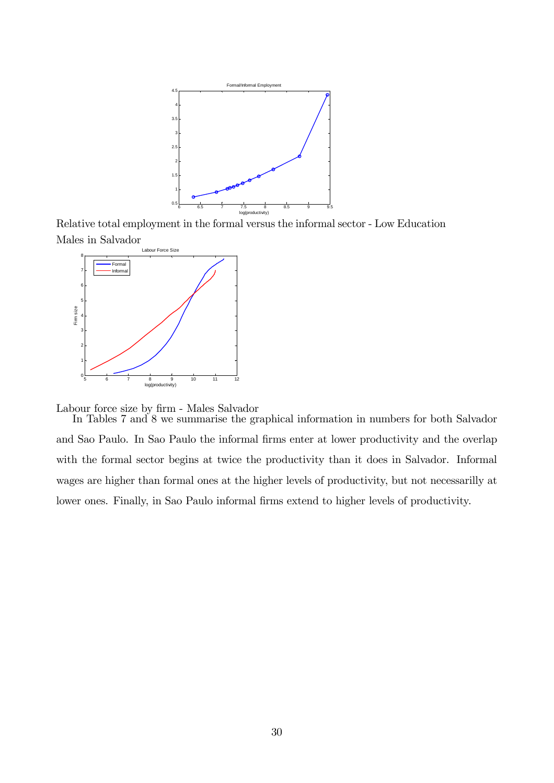

Relative total employment in the formal versus the informal sector - Low Education Males in Salvador



Labour force size by firm - Males Salvador

In Tables 7 and 8 we summarise the graphical information in numbers for both Salvador and Sao Paulo. In Sao Paulo the informal firms enter at lower productivity and the overlap with the formal sector begins at twice the productivity than it does in Salvador. Informal wages are higher than formal ones at the higher levels of productivity, but not necessarilly at lower ones. Finally, in Sao Paulo informal firms extend to higher levels of productivity.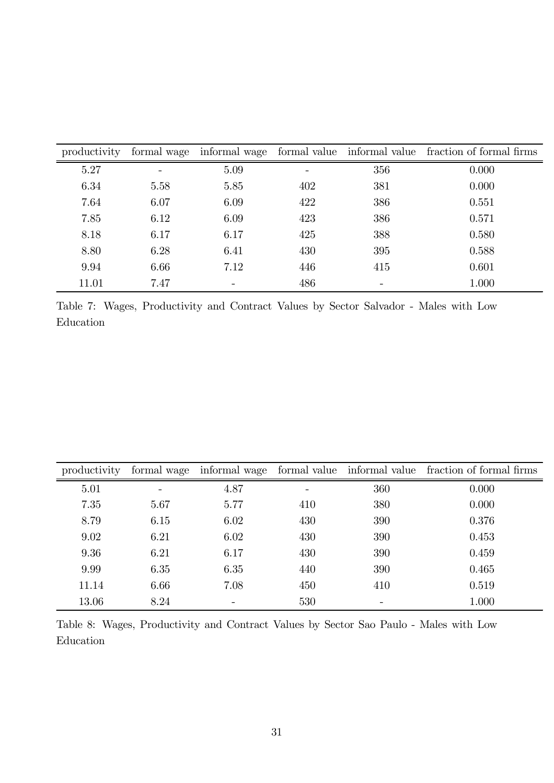| productivity |      |      |     |     | formal wage informal wage formal value informal value fraction of formal firms |
|--------------|------|------|-----|-----|--------------------------------------------------------------------------------|
| 5.27         |      | 5.09 |     | 356 | 0.000                                                                          |
| 6.34         | 5.58 | 5.85 | 402 | 381 | 0.000                                                                          |
| 7.64         | 6.07 | 6.09 | 422 | 386 | 0.551                                                                          |
| 7.85         | 6.12 | 6.09 | 423 | 386 | 0.571                                                                          |
| 8.18         | 6.17 | 6.17 | 425 | 388 | 0.580                                                                          |
| 8.80         | 6.28 | 6.41 | 430 | 395 | 0.588                                                                          |
| 9.94         | 6.66 | 7.12 | 446 | 415 | 0.601                                                                          |
| 11.01        | 7.47 |      | 486 |     | 1.000                                                                          |

Table 7: Wages, Productivity and Contract Values by Sector Salvador - Males with Low Education

| productivity | formal wage | informal wage |     |     | formal value informal value fraction of formal firms |
|--------------|-------------|---------------|-----|-----|------------------------------------------------------|
| 5.01         |             | 4.87          |     | 360 | 0.000                                                |
| 7.35         | 5.67        | 5.77          | 410 | 380 | 0.000                                                |
| 8.79         | 6.15        | 6.02          | 430 | 390 | 0.376                                                |
| 9.02         | 6.21        | 6.02          | 430 | 390 | 0.453                                                |
| 9.36         | 6.21        | 6.17          | 430 | 390 | 0.459                                                |
| 9.99         | 6.35        | 6.35          | 440 | 390 | 0.465                                                |
| 11.14        | 6.66        | 7.08          | 450 | 410 | 0.519                                                |
| 13.06        | 8.24        |               | 530 | -   | 1.000                                                |

Table 8: Wages, Productivity and Contract Values by Sector Sao Paulo - Males with Low Education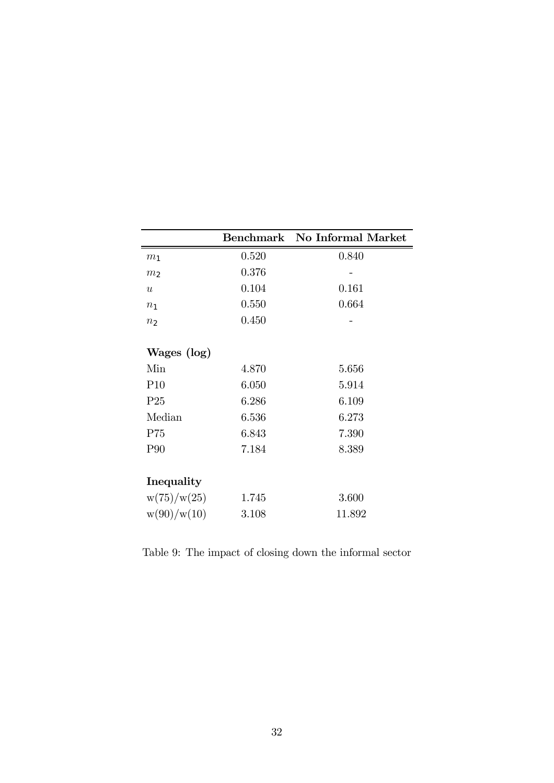|                  |       | Benchmark No Informal Market |
|------------------|-------|------------------------------|
| m <sub>1</sub>   | 0.520 | 0.840                        |
| m <sub>2</sub>   | 0.376 |                              |
| $\boldsymbol{u}$ | 0.104 | 0.161                        |
| n <sub>1</sub>   | 0.550 | 0.664                        |
| n <sub>2</sub>   | 0.450 |                              |
| Wages (log)      |       |                              |
| Min              | 4.870 | 5.656                        |
| P <sub>10</sub>  | 6.050 | 5.914                        |
| P <sub>25</sub>  | 6.286 | 6.109                        |
| Median           | 6.536 | 6.273                        |
| P75              | 6.843 | 7.390                        |
| P90              | 7.184 | 8.389                        |
| Inequality       |       |                              |
| w(75)/w(25)      | 1.745 | 3.600                        |
| w(90)/w(10)      | 3.108 | 11.892                       |

Table 9: The impact of closing down the informal sector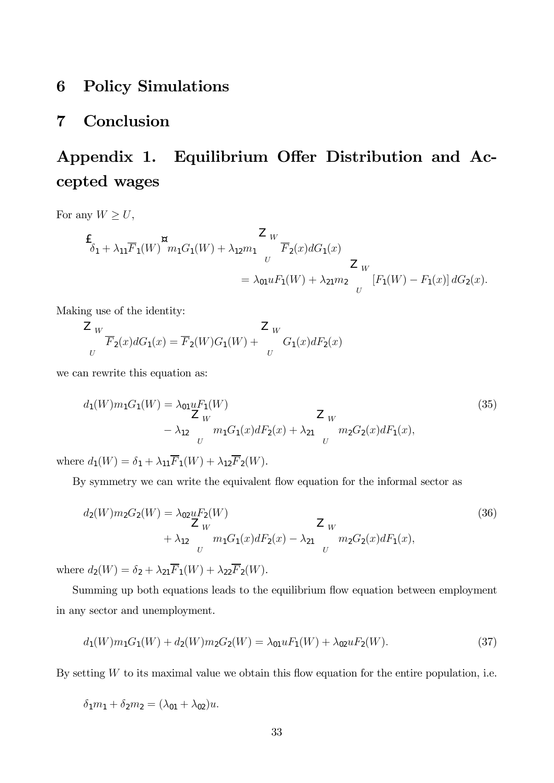# 6 Policy Simulations

# 7 Conclusion

# Appendix 1. Equilibrium Offer Distribution and Accepted wages

For any  $W\geq U,$ 

$$
\frac{1}{\delta_1 + \lambda_{11}F_1(W)}^{\text{m}} m_1 G_1(W) + \lambda_{12} m_1 \frac{Z_W}{U} \frac{Z_W}{F_2(x) dG_1(x)} \frac{Z_W}{Z_W}
$$
\n
$$
= \lambda_{01} u F_1(W) + \lambda_{21} m_2 \frac{Z_W}{U} [F_1(W) - F_1(x)] dG_2(x).
$$

Making use of the identity:

$$
\frac{Z}{U} \frac{W}{F_2(x)dG_1(x)} = \overline{F}_2(W)G_1(W) + \frac{Z}{U}G_1(x)dF_2(x)
$$

we can rewrite this equation as:

$$
d_1(W)m_1G_1(W) = \lambda_{01} uF_1(W)
$$
  
\n
$$
Z_W
$$
\n
$$
- \lambda_{12} m_1G_1(x)dF_2(x) + \lambda_{21} m_2G_2(x)dF_1(x),
$$
\n(35)\n  
\n
$$
U
$$

where  $d_1(W) = \delta_1 + \lambda_{11}\overline{F}_1(W) + \lambda_{12}\overline{F}_2(W)$ .

By symmetry we can write the equivalent flow equation for the informal sector as

$$
d_2(W)m_2G_2(W) = \lambda_{02}uF_2(W)
$$
  
\n
$$
= \lambda_{02}uF_2(W)
$$
  
\n
$$
= \lambda_{02}uF_2(W)
$$
  
\n
$$
= \lambda_{02}uF_2(W)
$$
  
\n
$$
= \lambda_{02}uF_2(W)
$$
  
\n
$$
= \lambda_{02}uF_2(W)
$$
  
\n
$$
= \lambda_{02}uF_2(W)
$$
  
\n
$$
= \lambda_{02}uF_2(W)
$$
  
\n
$$
= \lambda_{02}uF_2(W)
$$
  
\n
$$
= \lambda_{02}uF_2(W)
$$
  
\n
$$
= \lambda_{02}uF_2(W)
$$
  
\n
$$
= \lambda_{02}uF_2(W)
$$
  
\n
$$
= \lambda_{02}uF_2(W)
$$
  
\n
$$
= \lambda_{02}uF_2(W)
$$
  
\n
$$
= \lambda_{02}uF_2(W)
$$
  
\n
$$
= \lambda_{02}uF_2(W)
$$
  
\n
$$
= \lambda_{02}uF_2(W)
$$
  
\n
$$
= \lambda_{02}uF_2(W)
$$
  
\n
$$
= \lambda_{02}uF_2(W)
$$
  
\n
$$
= \lambda_{02}uF_2(W)
$$
  
\n
$$
= \lambda_{02}uF_2(W)
$$
  
\n
$$
= \lambda_{02}uF_2(W)
$$
  
\n
$$
= \lambda_{02}uF_2(W)
$$
  
\n
$$
= \lambda_{02}uF_2(W)
$$
  
\n
$$
= \lambda_{02}uF_2(W)
$$
  
\n
$$
= \lambda_{02}uF_2(W)
$$
  
\n
$$
= \lambda_{02}uF_2(W)
$$
  
\n
$$
= \lambda_{02}uF_2(W)
$$
  
\n
$$
= \lambda_{02}uF_2(W)
$$
  
\n
$$
= \lambda_{02}uF_2(W)
$$
  
\n
$$
= \lambda_{02}uF_2(W)
$$
  
\n
$$
= \lambda
$$

where  $d_2(W) = \delta_2 + \lambda_{21}\overline{F}_1(W) + \lambda_{22}\overline{F}_2(W)$ .

Summing up both equations leads to the equilibrium flow equation between employment in any sector and unemployment.

$$
d_1(W)m_1G_1(W) + d_2(W)m_2G_2(W) = \lambda_{01}uF_1(W) + \lambda_{02}uF_2(W).
$$
\n(37)

By setting  $W$  to its maximal value we obtain this flow equation for the entire population, i.e.

 $\delta_1m_1 + \delta_2m_2 = (\lambda_{01} + \lambda_{02})u.$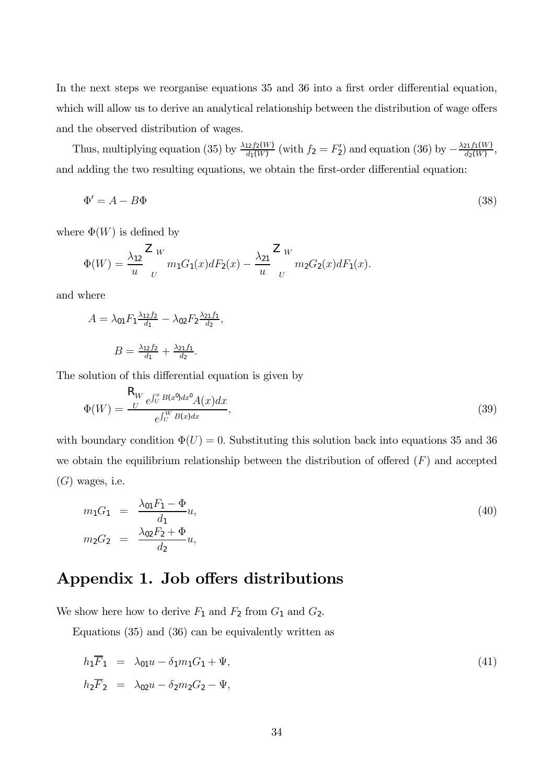In the next steps we reorganise equations 35 and 36 into a first order differential equation, which will allow us to derive an analytical relationship between the distribution of wage offers and the observed distribution of wages.

Thus, multiplying equation (35) by  $\frac{\lambda_{12} f_2(W)}{d_1(W)}$  (with  $f_2 = F_2'$ ) and equation (36) by  $-\frac{\lambda_{21} f_1(W)}{d_2(W)}$ , and adding the two resulting equations, we obtain the first-order differential equation:

$$
\Phi' = A - B\Phi \tag{38}
$$

where  $\Phi(W)$  is defined by

$$
\Phi(W) = \frac{\lambda_{12}}{u} \frac{Z_W}{U} m_1 G_1(x) dF_2(x) - \frac{\lambda_{21}}{u} \frac{Z_W}{U} m_2 G_2(x) dF_1(x).
$$

and where

$$
A = \lambda_{01} F_1 \frac{\lambda_{12} f_2}{d_1} - \lambda_{02} F_2 \frac{\lambda_{21} f_1}{d_2},
$$

$$
B = \frac{\lambda_{12} f_2}{d_1} + \frac{\lambda_{21} f_1}{d_2}.
$$

The solution of this differential equation is given by

$$
\Phi(W) = \frac{R_W}{e^{\int_U^W B(x)dx}} \frac{B(x^0)}{B(x^0)} \frac{A(x)}{A(x)}.
$$
\n(39)

with boundary condition  $\Phi(U)=0$ . Substituting this solution back into equations 35 and 36 we obtain the equilibrium relationship between the distribution of offered  $(F)$  and accepted  $(G)$  wages, i.e.

$$
m_1 G_1 = \frac{\lambda_{01} F_1 - \Phi}{d_1} u,
$$
  
\n
$$
m_2 G_2 = \frac{\lambda_{02} F_2 + \Phi}{d_2} u,
$$
\n(40)

# Appendix 1. Job offers distributions

We show here how to derive  $F_1$  and  $F_2$  from  $G_1$  and  $G_2$ .

Equations (35) and (36) can be equivalently written as

$$
h_1 \overline{F}_1 = \lambda_{01} u - \delta_1 m_1 G_1 + \Psi,
$$
  
\n
$$
h_2 \overline{F}_2 = \lambda_{02} u - \delta_2 m_2 G_2 - \Psi,
$$
\n(41)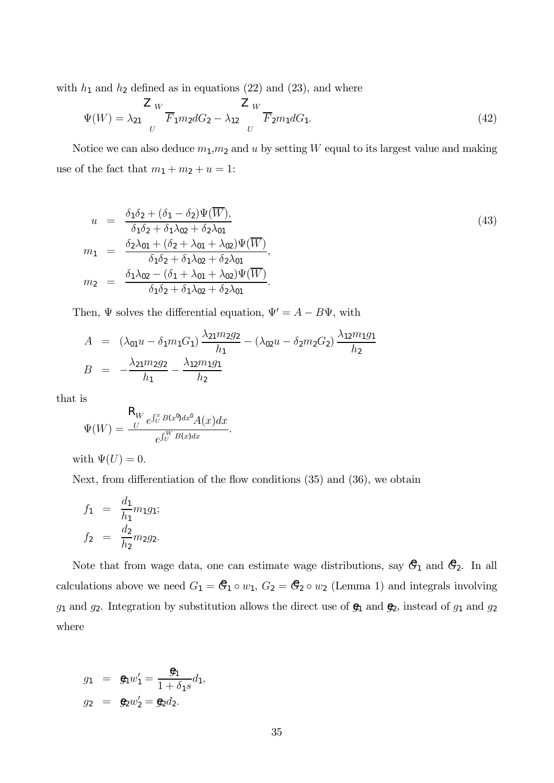with  $h_1$  and  $h_2$  defined as in equations (22) and (23), and where

$$
\Psi(W) = \lambda_{21} \frac{Z_W}{U} \overline{F}_1 m_2 dG_2 - \lambda_{12} \frac{Z_W}{U} \overline{F}_2 m_1 dG_1.
$$
 (42)

Notice we can also deduce  $m_1, m_2$  and u by setting W equal to its largest value and making use of the fact that  $m_1 + m_2 + u = 1$ :

$$
u = \frac{\delta_1 \delta_2 + (\delta_1 - \delta_2) \Psi(\overline{W})}{\delta_1 \delta_2 + \delta_1 \lambda_{02} + \delta_2 \lambda_{01}} \qquad (43)
$$
  
\n
$$
m_1 = \frac{\delta_2 \lambda_{01} + (\delta_2 + \lambda_{01} + \lambda_{02}) \Psi(\overline{W})}{\delta_1 \delta_2 + \delta_1 \lambda_{02} + \delta_2 \lambda_{01}},
$$
  
\n
$$
m_2 = \frac{\delta_1 \lambda_{02} - (\delta_1 + \lambda_{01} + \lambda_{02}) \Psi(\overline{W})}{\delta_1 \delta_2 + \delta_1 \lambda_{02} + \delta_2 \lambda_{01}}.
$$

Then,  $\Psi$  solves the differential equation,  $\Psi' = A - B\Psi$ , with

$$
A = (\lambda_{01}u - \delta_1 m_1 G_1) \frac{\lambda_{21}m_2 g_2}{h_1} - (\lambda_{02}u - \delta_2 m_2 G_2) \frac{\lambda_{12}m_1 g_1}{h_2}
$$
  

$$
B = -\frac{\lambda_{21}m_2 g_2}{h_1} - \frac{\lambda_{12}m_1 g_1}{h_2}
$$

that is

$$
\Psi(W) = \frac{\mathsf{R}_{W}}{c} e^{\int_{U}^{x} B(x^{0}) dx^{0}} A(x) dx}{e^{\int_{U}^{W} B(x) dx}}.
$$

with  $\Psi(U)=0$ .

Next, from differentiation of the flow conditions (35) and (36), we obtain

$$
f_1 = \frac{d_1}{h_1} m_1 g_1;
$$
  

$$
f_2 = \frac{d_2}{h_2} m_2 g_2.
$$

Note that from wage data, one can estimate wage distributions, say  $\mathcal{C}_1$  and  $\mathcal{C}_2$ . In all calculations above we need  $G_1 = \mathcal{G}_1 \circ w_1$ ,  $G_2 = \mathcal{G}_2 \circ w_2$  (Lemma 1) and integrals involving  $g_1$  and  $g_2$ . Integration by substitution allows the direct use of  $\mathfrak{g}_1$  and  $\mathfrak{g}_2$ , instead of  $g_1$  and  $g_2$ where

$$
g_1 = \mathbf{g}_1 w'_1 = \frac{\mathbf{g}_1}{1 + \delta_1 s} d_1,
$$
  
\n $g_2 = \mathbf{g}_2 w'_2 = \mathbf{g}_2 d_2.$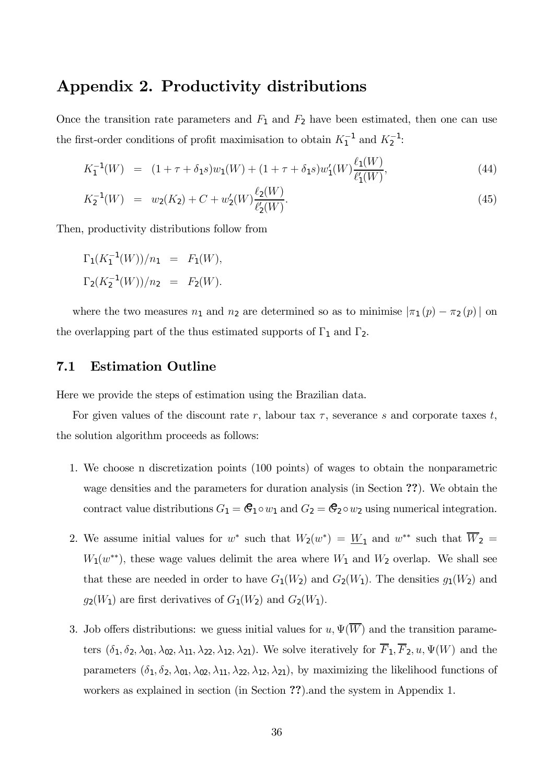# Appendix 2. Productivity distributions

Once the transition rate parameters and  $F_1$  and  $F_2$  have been estimated, then one can use the first-order conditions of profit maximisation to obtain  $K_1^{-1}$  and  $K_2^{-1}$ :

$$
K_1^{-1}(W) = (1 + \tau + \delta_1 s)w_1(W) + (1 + \tau + \delta_1 s)w_1'(W)\frac{\ell_1(W)}{\ell_1'(W)},
$$
\n(44)

$$
K_2^{-1}(W) = w_2(K_2) + C + w_2'(W) \frac{\ell_2(W)}{\ell_2'(W)}.
$$
\n(45)

Then, productivity distributions follow from

$$
\Gamma_1(K_1^{-1}(W))/n_1 = F_1(W),
$$
  
\n
$$
\Gamma_2(K_2^{-1}(W))/n_2 = F_2(W).
$$

where the two measures  $n_1$  and  $n_2$  are determined so as to minimise  $|\pi_1(p) - \pi_2(p)|$  on the overlapping part of the thus estimated supports of  $\Gamma_1$  and  $\Gamma_2$ .

## 7.1 Estimation Outline

Here we provide the steps of estimation using the Brazilian data.

For given values of the discount rate r, labour tax  $\tau$ , severance s and corporate taxes t, the solution algorithm proceeds as follows:

- 1. We choose n discretization points (100 points) of wages to obtain the nonparametric wage densities and the parameters for duration analysis (in Section ??). We obtain the contract value distributions  $G_1 = \mathcal{C}_1 \circ w_1$  and  $G_2 = \mathcal{C}_2 \circ w_2$  using numerical integration.
- 2. We assume initial values for w<sup>\*</sup> such that  $W_2(w^*) = W_1$  and  $w^{**}$  such that  $\overline{W}_2$  $W_1(w^{**})$ , these wage values delimit the area where  $W_1$  and  $W_2$  overlap. We shall see that these are needed in order to have  $G_1(W_2)$  and  $G_2(W_1)$ . The densities  $g_1(W_2)$  and  $g_2(W_1)$  are first derivatives of  $G_1(W_2)$  and  $G_2(W_1)$ .
- 3. Job offers distributions: we guess initial values for  $u, \Psi(\overline{W})$  and the transition parameters  $(\delta_1, \delta_2, \lambda_{01}, \lambda_{02}, \lambda_{11}, \lambda_{22}, \lambda_{12}, \lambda_{21})$ . We solve iteratively for  $\overline{F}_1, \overline{F}_2, u, \Psi(W)$  and the parameters  $(\delta_1, \delta_2, \lambda_{01}, \lambda_{02}, \lambda_{11}, \lambda_{22}, \lambda_{12}, \lambda_{21})$ , by maximizing the likelihood functions of workers as explained in section (in Section ??).and the system in Appendix 1.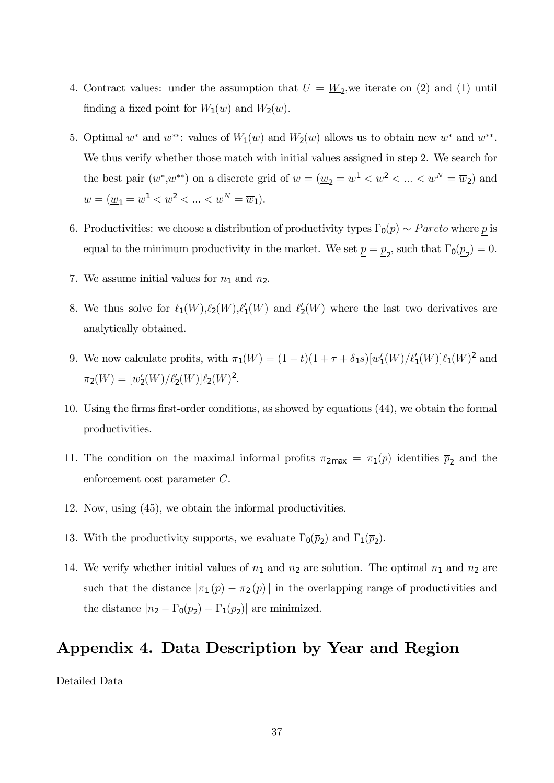- 4. Contract values: under the assumption that  $U = \underline{W}_2$ , we iterate on (2) and (1) until finding a fixed point for  $W_1(w)$  and  $W_2(w)$ .
- 5. Optimal w<sup>\*</sup> and w<sup>\*\*</sup>: values of  $W_1(w)$  and  $W_2(w)$  allows us to obtain new w<sup>\*</sup> and w<sup>\*\*</sup>. We thus verify whether those match with initial values assigned in step 2. We search for the best pair  $(w^*, w^{**})$  on a discrete grid of  $w = (\underline{w}_2 = w^1 < w^2 < ... < w^N = \overline{w}_2)$  and  $w = (\underline{w}_1 = w^1 < w^2 < \ldots < w^N = \overline{w}_1).$
- 6. Productivities: we choose a distribution of productivity types  $\Gamma_0(p) \sim Pareto$  where p is equal to the minimum productivity in the market. We set  $\underline{p} = \underline{p}_2$ , such that  $\Gamma_0(\underline{p}_2) = 0$ .
- 7. We assume initial values for  $n_1$  and  $n_2$ .
- 8. We thus solve for  $\ell_1(W), \ell_2(W), \ell'_1(W)$  and  $\ell'_2(W)$  where the last two derivatives are analytically obtained.
- 9. We now calculate profits, with  $\pi_1(W) = (1 t)(1 + \tau + \delta_1 s)[w'_1(W)/\ell'_1(W)]\ell_1(W)^2$  and  $\pi_2(W) = [w_2'(W)/\ell_2'(W)]\ell_2(W)^2.$
- 10. Using the firms first-order conditions, as showed by equations (44), we obtain the formal productivities.
- 11. The condition on the maximal informal profits  $\pi_{2\text{max}} = \pi_1(p)$  identifies  $\bar{p}_2$  and the enforcement cost parameter C.
- 12. Now, using (45), we obtain the informal productivities.
- 13. With the productivity supports, we evaluate  $\Gamma_0(\bar{p}_2)$  and  $\Gamma_1(\bar{p}_2)$ .
- 14. We verify whether initial values of  $n_1$  and  $n_2$  are solution. The optimal  $n_1$  and  $n_2$  are such that the distance  $|\pi_1(p) - \pi_2(p)|$  in the overlapping range of productivities and the distance  $|n_2 - \Gamma_0(\bar{p}_2) - \Gamma_1(\bar{p}_2)|$  are minimized.

# Appendix 4. Data Description by Year and Region

Detailed Data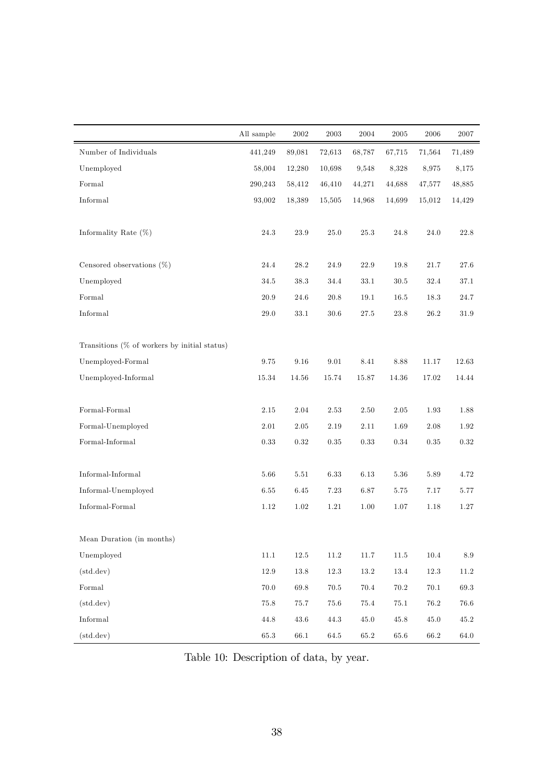|                                                   | All sample | 2002     | 2003     | 2004       | 2005     | 2006     | 2007            |
|---------------------------------------------------|------------|----------|----------|------------|----------|----------|-----------------|
| Number of Individuals                             | 441,249    | 89,081   | 72,613   | 68,787     | 67,715   | 71.564   | 71,489          |
| Unemployed                                        | 58,004     | 12,280   | 10,698   | 9,548      | 8,328    | 8,975    | 8,175           |
| Formal                                            | 290,243    | 58,412   | 46,410   | 44,271     | 44,688   | 47,577   | 48,885          |
| $\qquad \qquad In formal$                         | 93,002     | 18,389   | 15,505   | 14,968     | 14,699   | 15,012   | 14,429          |
| Informality Rate $(\%)$                           | 24.3       | 23.9     | 25.0     | 25.3       | 24.8     | 24.0     | 22.8            |
| Censored observations $(\%)$                      | 24.4       | 28.2     | 24.9     | 22.9       | 19.8     | 21.7     | 27.6            |
| Unemployed                                        | 34.5       | 38.3     | 34.4     | 33.1       | 30.5     | 32.4     | 37.1            |
| ${\tt Formal}$                                    | $20.9\,$   | 24.6     | $20.8\,$ | $19.1\,$   | 16.5     | 18.3     | $24.7\,$        |
| Informal                                          | 29.0       | 33.1     | 30.6     | 27.5       | 23.8     | 26.2     | $31.9\,$        |
| Transitions $(\%$ of workers by initial status)   |            |          |          |            |          |          |                 |
| Unemployed-Formal                                 | 9.75       | 9.16     | 9.01     | 8.41       | 8.88     | 11.17    | 12.63           |
| Unemployed-Informal                               | 15.34      | 14.56    | 15.74    | 15.87      | 14.36    | 17.02    | 14.44           |
| ${\tt Formal\text{-}Formal}$                      | 2.15       | 2.04     | 2.53     | 2.50       | 2.05     | 1.93     | 1.88            |
| Formal-Unemployed                                 | 2.01       | 2.05     | 2.19     | 2.11       | 1.69     | 2.08     | 1.92            |
| ${\tt Formal\text{-}Informal}$                    | $0.33\,$   | $0.32\,$ | $0.35\,$ | $\rm 0.33$ | $0.34\,$ | 0.35     | 0.32            |
| $\label{thm:nonlocal} In formal\text{-}In formal$ | 5.66       | 5.51     | 6.33     | 6.13       | 5.36     | 5.89     | 4.72            |
| Informal-Unemployed                               | 6.55       | 6.45     | 7.23     | 6.87       | 5.75     | 7.17     | 5.77            |
| $In formal-Formal \\$                             | 1.12       | $1.02\,$ | $1.21\,$ | 1.00       | 1.07     | 1.18     | $1.27\,$        |
| Mean Duration (in months)                         |            |          |          |            |          |          |                 |
| Unemployed                                        | $11.1\,$   | $12.5\,$ | $11.2\,$ | 11.7       | $11.5\,$ | $10.4\,$ | $\!\!\!\!\!8.9$ |
| (std. dev)                                        | $12.9\,$   | $13.8\,$ | $12.3\,$ | $13.2\,$   | $13.4\,$ | $12.3\,$ | $11.2\,$        |
| Formal                                            | 70.0       | 69.8     | $70.5\,$ | $70.4\,$   | $70.2\,$ | 70.1     | 69.3            |
| (std. dev)                                        | $75.8\,$   | 75.7     | 75.6     | 75.4       | 75.1     | $76.2\,$ | 76.6            |
| Informal                                          | $44.8\,$   | 43.6     | 44.3     | $45.0\,$   | $45.8\,$ | $45.0\,$ | $45.2\,$        |
| $(\text{std.dev})$                                | $65.3\,$   | $66.1\,$ | 64.5     | 65.2       | 65.6     | 66.2     | $64.0\,$        |

Table 10: Description of data, by year.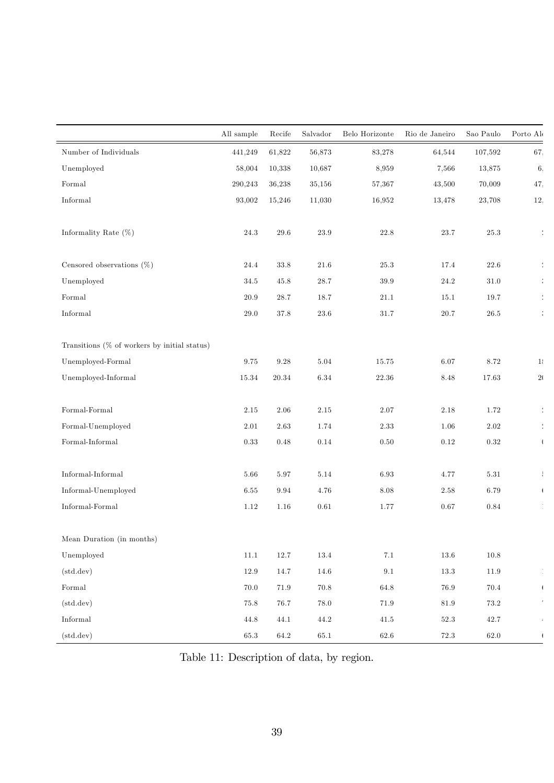|                                                 | All sample | Recife      | Salvador | Belo Horizonte | Rio de Janeiro | Sao Paulo | Porto Ale                |
|-------------------------------------------------|------------|-------------|----------|----------------|----------------|-----------|--------------------------|
| Number of Individuals                           | 441,249    | 61,822      | 56,873   | 83,278         | 64,544         | 107,592   | 67.                      |
| Unemployed                                      | 58,004     | 10,338      | 10,687   | 8,959          | 7,566          | 13,875    | 6,                       |
| ${\tt Formal}$                                  | 290,243    | 36,238      | 35,156   | 57,367         | 43,500         | 70,009    | 47.                      |
| Informal                                        | 93,002     | 15,246      | 11,030   | 16,952         | 13,478         | 23,708    | 12.                      |
| Informality Rate $(\%)$                         | $24.3\,$   | $29.6\,$    | $23.9\,$ | 22.8           | $23.7\,$       | 25.3      | ÷                        |
| Censored observations $(\%)$                    | 24.4       | $33.8\,$    | 21.6     | 25.3           | 17.4           | 22.6      |                          |
| Unemployed                                      | 34.5       | $45.8\,$    | $28.7\,$ | 39.9           | $24.2\,$       | $31.0\,$  |                          |
| Formal                                          | 20.9       | $28.7\,$    | 18.7     | $21.1\,$       | 15.1           | 19.7      |                          |
| Informal                                        | $29.0\,$   | $37.8\,$    | $23.6\,$ | $31.7\,$       | $20.7\,$       | $26.5\,$  |                          |
|                                                 |            |             |          |                |                |           |                          |
| Transitions $(\%$ of workers by initial status) |            |             |          |                |                |           |                          |
| Unemployed-Formal                               | $\rm 9.75$ | $\ \, 9.28$ | 5.04     | 15.75          | 6.07           | 8.72      | 1                        |
| Unemployed-Informal                             | 15.34      | $20.34\,$   | 6.34     | $22.36\,$      | $8.48\,$       | 17.63     | 2(                       |
| ${\tt Formal\text{-}Formal}$                    | 2.15       | 2.06        | 2.15     | 2.07           | 2.18           | 1.72      | $\frac{4}{4}$            |
| Formal-Unemployed                               | 2.01       | $2.63\,$    | 1.74     | 2.33           | 1.06           | 2.02      | ÷                        |
| ${\tt Formal\text{-}Informal}$                  | $0.33\,$   | $0.48\,$    | 0.14     | 0.50           | $0.12\,$       | 0.32      | $\overline{1}$           |
|                                                 |            |             |          |                |                |           |                          |
| $In formal-Informal$                            | 5.66       | $5.97\,$    | 5.14     | 6.93           | 4.77           | $5.31\,$  | $\frac{1}{2}$            |
| Informal-Unemployed                             | 6.55       | 9.94        | 4.76     | 8.08           | $2.58\,$       | 6.79      | $\overline{1}$           |
| Informal-Formal                                 | 1.12       | $1.16\,$    | $0.61\,$ | 1.77           | $0.67\,$       | $0.84\,$  |                          |
|                                                 |            |             |          |                |                |           |                          |
| Mean Duration (in months)                       |            |             |          |                |                |           |                          |
| Unemployed                                      | $11.1\,$   | $12.7\,$    | $13.4\,$ | $7.1\,$        | $13.6\,$       | $10.8\,$  |                          |
| (std. dev)                                      | 12.9       | $14.7\,$    | $14.6\,$ | $9.1\,$        | $13.3\,$       | $11.9\,$  |                          |
| ${\tt Formal}$                                  | $70.0\,$   | $71.9\,$    | $70.8\,$ | $64.8\,$       | $76.9\,$       | $70.4\,$  | $\overline{\phantom{a}}$ |
| (std. dev)                                      | $75.8\,$   | 76.7        | $78.0\,$ | $71.9\,$       | $81.9\,$       | $73.2\,$  |                          |
| $\label{thm:nonlocal} In formal$                | $44.8\,$   | $44.1\,$    | $44.2\,$ | $41.5\,$       | $52.3\,$       | $42.7\,$  |                          |
| (std. dev)                                      | $65.3\,$   | $64.2\,$    | $65.1\,$ | $62.6\,$       | $72.3\,$       | $62.0\,$  | $\mathfrak{t}$           |

Table 11: Description of data, by region.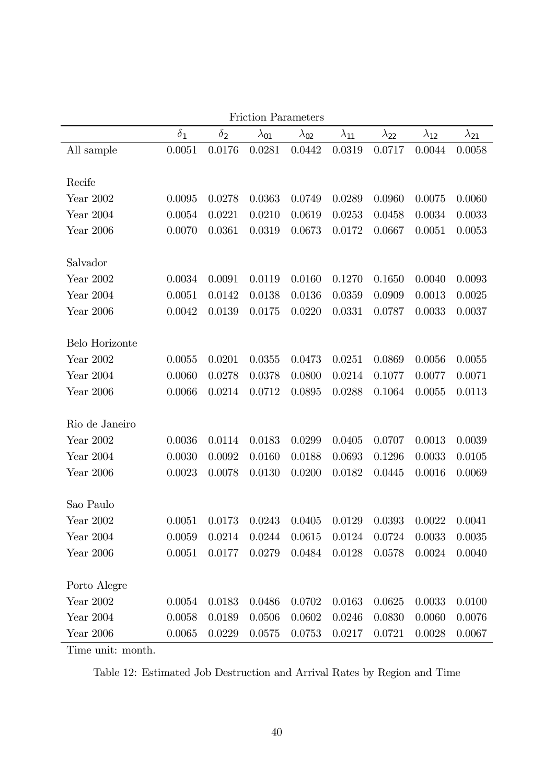|                |            |            | Friction Parameters |                |                |                |                |                |
|----------------|------------|------------|---------------------|----------------|----------------|----------------|----------------|----------------|
|                | $\delta_1$ | $\delta_2$ | $\lambda_{01}$      | $\lambda_{02}$ | $\lambda_{11}$ | $\lambda_{22}$ | $\lambda_{12}$ | $\lambda_{21}$ |
| All sample     | 0.0051     | 0.0176     | 0.0281              | 0.0442         | 0.0319         | 0.0717         | 0.0044         | 0.0058         |
|                |            |            |                     |                |                |                |                |                |
| Recife         |            |            |                     |                |                |                |                |                |
| Year 2002      | 0.0095     | 0.0278     | 0.0363              | 0.0749         | 0.0289         | 0.0960         | 0.0075         | 0.0060         |
| Year 2004      | 0.0054     | 0.0221     | 0.0210              | 0.0619         | 0.0253         | 0.0458         | 0.0034         | 0.0033         |
| Year 2006      | 0.0070     | 0.0361     | 0.0319              | 0.0673         | 0.0172         | 0.0667         | 0.0051         | 0.0053         |
|                |            |            |                     |                |                |                |                |                |
| Salvador       |            |            |                     |                |                |                |                |                |
| Year 2002      | 0.0034     | 0.0091     | 0.0119              | 0.0160         | 0.1270         | 0.1650         | 0.0040         | 0.0093         |
| Year $2004$    | 0.0051     | 0.0142     | 0.0138              | 0.0136         | 0.0359         | 0.0909         | 0.0013         | 0.0025         |
| Year $2006$    | 0.0042     | 0.0139     | 0.0175              | 0.0220         | 0.0331         | 0.0787         | 0.0033         | 0.0037         |
|                |            |            |                     |                |                |                |                |                |
| Belo Horizonte |            |            |                     |                |                |                |                |                |
| Year 2002      | 0.0055     | 0.0201     | 0.0355              | 0.0473         | 0.0251         | 0.0869         | 0.0056         | 0.0055         |
| Year 2004      | 0.0060     | 0.0278     | 0.0378              | 0.0800         | 0.0214         | 0.1077         | 0.0077         | 0.0071         |
| Year $2006$    | 0.0066     | 0.0214     | 0.0712              | 0.0895         | 0.0288         | 0.1064         | 0.0055         | 0.0113         |
|                |            |            |                     |                |                |                |                |                |
| Rio de Janeiro |            |            |                     |                |                |                |                |                |
| Year 2002      | 0.0036     | 0.0114     | 0.0183              | 0.0299         | 0.0405         | 0.0707         | 0.0013         | 0.0039         |
| Year 2004      | 0.0030     | 0.0092     | 0.0160              | 0.0188         | 0.0693         | 0.1296         | 0.0033         | 0.0105         |
| Year 2006      | 0.0023     | 0.0078     | 0.0130              | 0.0200         | 0.0182         | 0.0445         | 0.0016         | 0.0069         |
|                |            |            |                     |                |                |                |                |                |
| Sao Paulo      |            |            |                     |                |                |                |                |                |
| Year 2002      | 0.0051     | 0.0173     | 0.0243              | 0.0405         | 0.0129         | 0.0393         | 0.0022         | 0.0041         |
| Year 2004      | 0.0059     | 0.0214     | 0.0244              | 0.0615         | 0.0124         | 0.0724         | 0.0033         | 0.0035         |
| Year 2006      | 0.0051     | 0.0177     | 0.0279              | 0.0484         | 0.0128         | 0.0578         | 0.0024         | 0.0040         |
|                |            |            |                     |                |                |                |                |                |
| Porto Alegre   |            |            |                     |                |                |                |                |                |
| Year $2002$    | 0.0054     | 0.0183     | 0.0486              | 0.0702         | 0.0163         | 0.0625         | 0.0033         | 0.0100         |
| Year $2004$    | 0.0058     | 0.0189     | 0.0506              | 0.0602         | 0.0246         | 0.0830         | 0.0060         | 0.0076         |
| Year $2006$    | 0.0065     | 0.0229     | 0.0575              | 0.0753         | 0.0217         | 0.0721         | 0.0028         | 0.0067         |

Friction Parameters

Time unit: month.

Table 12: Estimated Job Destruction and Arrival Rates by Region and Time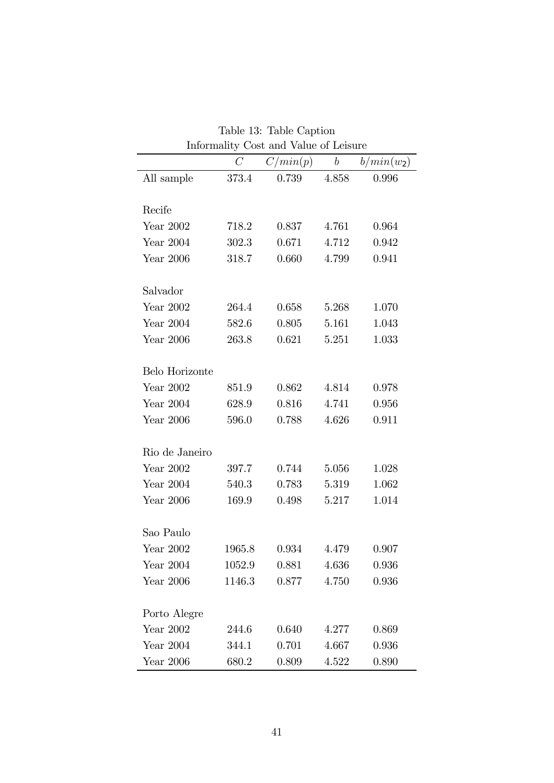|                | mnormancy<br>$\mathcal{C}$ | Cost alla value of neighbord<br>C/min(p) | $\boldsymbol{b}$ | $b/min(w_2)$ |
|----------------|----------------------------|------------------------------------------|------------------|--------------|
| All sample     | 373.4                      | 0.739                                    | 4.858            | 0.996        |
|                |                            |                                          |                  |              |
| Recife         |                            |                                          |                  |              |
| Year 2002      | 718.2                      | 0.837                                    | 4.761            | 0.964        |
| Year 2004      | 302.3                      | 0.671                                    | 4.712            | 0.942        |
| Year 2006      | 318.7                      | 0.660                                    | 4.799            | 0.941        |
| Salvador       |                            |                                          |                  |              |
| Year 2002      | 264.4                      | 0.658                                    | 5.268            | 1.070        |
| Year 2004      | 582.6                      | 0.805                                    | 5.161            | 1.043        |
| Year 2006      | 263.8                      | 0.621                                    | 5.251            | 1.033        |
| Belo Horizonte |                            |                                          |                  |              |
| Year 2002      | 851.9                      | 0.862                                    | 4.814            | 0.978        |
| Year 2004      | 628.9                      | 0.816                                    | 4.741            | 0.956        |
| Year 2006      | 596.0                      | 0.788                                    | 4.626            | 0.911        |
| Rio de Janeiro |                            |                                          |                  |              |
| Year 2002      | 397.7                      | 0.744                                    | 5.056            | 1.028        |
| Year $2004$    | 540.3                      | 0.783                                    | 5.319            | 1.062        |
| Year 2006      | 169.9                      | 0.498                                    | 5.217            | 1.014        |
| Sao Paulo      |                            |                                          |                  |              |
| Year 2002      | 1965.8                     | 0.934                                    | 4.479            | 0.907        |
| Year $2004$    | 1052.9                     | 0.881                                    | 4.636            | 0.936        |
| Year 2006      | 1146.3                     | 0.877                                    | 4.750            | 0.936        |
|                |                            |                                          |                  |              |
| Porto Alegre   |                            |                                          |                  |              |
| Year 2002      | 244.6                      | 0.640                                    | 4.277            | 0.869        |
| Year 2004      | 344.1                      | 0.701                                    | 4.667            | 0.936        |
| Year 2006      | 680.2                      | 0.809                                    | 4.522            | 0.890        |

Table 13: Table Caption Informality Cost and Value of Leisure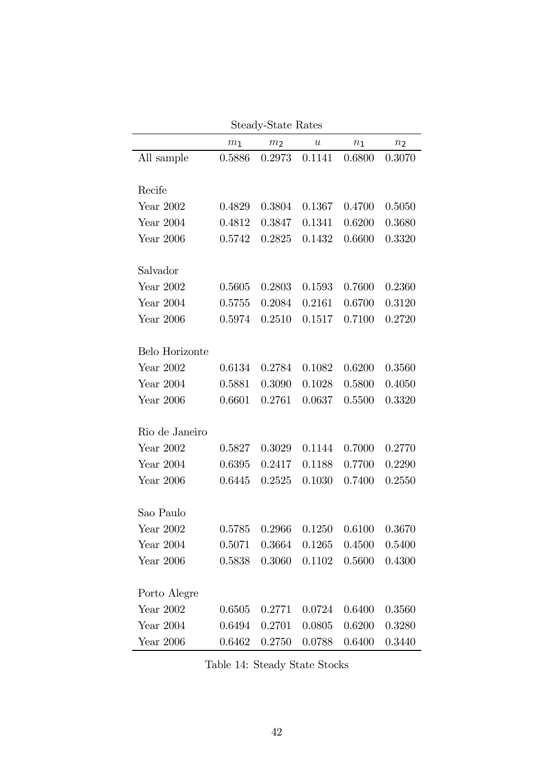|                |                | picauj-piate nates                  |                  |                |                |
|----------------|----------------|-------------------------------------|------------------|----------------|----------------|
|                | m <sub>1</sub> | m <sub>2</sub>                      | $\boldsymbol{u}$ | n <sub>1</sub> | n <sub>2</sub> |
| All sample     | 0.5886         | 0.2973                              | 0.1141           | 0.6800         | 0.3070         |
|                |                |                                     |                  |                |                |
| Recife         |                |                                     |                  |                |                |
| Year 2002      | 0.4829         | 0.3804                              | 0.1367           | 0.4700         | 0.5050         |
| Year 2004      | 0.4812         | 0.3847                              | 0.1341           | 0.6200         | 0.3680         |
| Year 2006      | 0.5742         | 0.2825                              | 0.1432           | 0.6600         | 0.3320         |
|                |                |                                     |                  |                |                |
| Salvador       |                |                                     |                  |                |                |
| Year 2002      | 0.5605         | 0.2803                              | 0.1593           | 0.7600         | 0.2360         |
| Year 2004      | 0.5755         | 0.2084                              | 0.2161           | 0.6700         | 0.3120         |
| Year 2006      | 0.5974         | 0.2510                              | 0.1517           | 0.7100         | 0.2720         |
|                |                |                                     |                  |                |                |
| Belo Horizonte |                |                                     |                  |                |                |
| Year 2002      | 0.6134         | 0.2784                              | 0.1082           | 0.6200         | 0.3560         |
| Year 2004      | 0.5881         | 0.3090                              | 0.1028           | 0.5800         | 0.4050         |
| Year 2006      | 0.6601         | 0.2761                              | 0.0637           | 0.5500         | 0.3320         |
|                |                |                                     |                  |                |                |
| Rio de Janeiro |                |                                     |                  |                |                |
| Year 2002      | 0.5827         | 0.3029                              | 0.1144           | 0.7000         | 0.2770         |
| Year 2004      | 0.6395         | 0.2417                              | 0.1188           | 0.7700         | 0.2290         |
| Year 2006      | 0.6445         | 0.2525                              | 0.1030           | 0.7400         | 0.2550         |
|                |                |                                     |                  |                |                |
| Sao Paulo      |                |                                     |                  |                |                |
| Year 2002      | 0.5785         | 0.2966                              | 0.1250           | 0.6100         | 0.3670         |
| Year 2004      |                | $0.5071$ $0.3664$ $0.1265$ $0.4500$ |                  |                | 0.5400         |
| Year 2006      | 0.5838         | 0.3060                              | 0.1102           | 0.5600         | 0.4300         |
|                |                |                                     |                  |                |                |
| Porto Alegre   |                |                                     |                  |                |                |
| Year 2002      | 0.6505         | 0.2771                              | 0.0724           | 0.6400         | 0.3560         |
| Year 2004      | 0.6494         | 0.2701                              | 0.0805           | 0.6200         | 0.3280         |
| Year 2006      | 0.6462         | 0.2750                              | 0.0788           | 0.6400         | 0.3440         |

Steady-State Rates

Table 14: Steady State Stocks